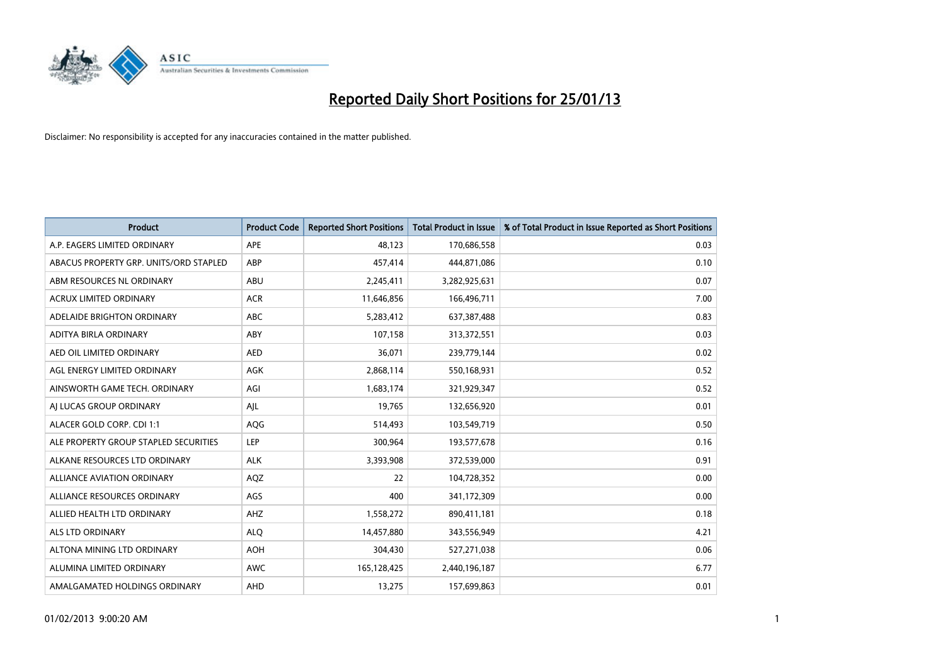

| <b>Product</b>                         | <b>Product Code</b> | <b>Reported Short Positions</b> | <b>Total Product in Issue</b> | % of Total Product in Issue Reported as Short Positions |
|----------------------------------------|---------------------|---------------------------------|-------------------------------|---------------------------------------------------------|
| A.P. EAGERS LIMITED ORDINARY           | <b>APE</b>          | 48.123                          | 170,686,558                   | 0.03                                                    |
| ABACUS PROPERTY GRP. UNITS/ORD STAPLED | <b>ABP</b>          | 457,414                         | 444,871,086                   | 0.10                                                    |
| ABM RESOURCES NL ORDINARY              | <b>ABU</b>          | 2,245,411                       | 3,282,925,631                 | 0.07                                                    |
| ACRUX LIMITED ORDINARY                 | <b>ACR</b>          | 11,646,856                      | 166,496,711                   | 7.00                                                    |
| ADELAIDE BRIGHTON ORDINARY             | <b>ABC</b>          | 5,283,412                       | 637,387,488                   | 0.83                                                    |
| ADITYA BIRLA ORDINARY                  | ABY                 | 107,158                         | 313,372,551                   | 0.03                                                    |
| AED OIL LIMITED ORDINARY               | <b>AED</b>          | 36,071                          | 239,779,144                   | 0.02                                                    |
| AGL ENERGY LIMITED ORDINARY            | AGK                 | 2,868,114                       | 550,168,931                   | 0.52                                                    |
| AINSWORTH GAME TECH. ORDINARY          | AGI                 | 1,683,174                       | 321,929,347                   | 0.52                                                    |
| AI LUCAS GROUP ORDINARY                | AJL                 | 19,765                          | 132,656,920                   | 0.01                                                    |
| ALACER GOLD CORP. CDI 1:1              | AQG                 | 514,493                         | 103,549,719                   | 0.50                                                    |
| ALE PROPERTY GROUP STAPLED SECURITIES  | LEP                 | 300,964                         | 193,577,678                   | 0.16                                                    |
| ALKANE RESOURCES LTD ORDINARY          | <b>ALK</b>          | 3,393,908                       | 372,539,000                   | 0.91                                                    |
| <b>ALLIANCE AVIATION ORDINARY</b>      | AQZ                 | 22                              | 104,728,352                   | 0.00                                                    |
| ALLIANCE RESOURCES ORDINARY            | AGS                 | 400                             | 341,172,309                   | 0.00                                                    |
| ALLIED HEALTH LTD ORDINARY             | AHZ                 | 1,558,272                       | 890,411,181                   | 0.18                                                    |
| ALS LTD ORDINARY                       | <b>ALO</b>          | 14,457,880                      | 343,556,949                   | 4.21                                                    |
| ALTONA MINING LTD ORDINARY             | <b>AOH</b>          | 304,430                         | 527,271,038                   | 0.06                                                    |
| ALUMINA LIMITED ORDINARY               | <b>AWC</b>          | 165,128,425                     | 2,440,196,187                 | 6.77                                                    |
| AMALGAMATED HOLDINGS ORDINARY          | AHD                 | 13,275                          | 157,699,863                   | 0.01                                                    |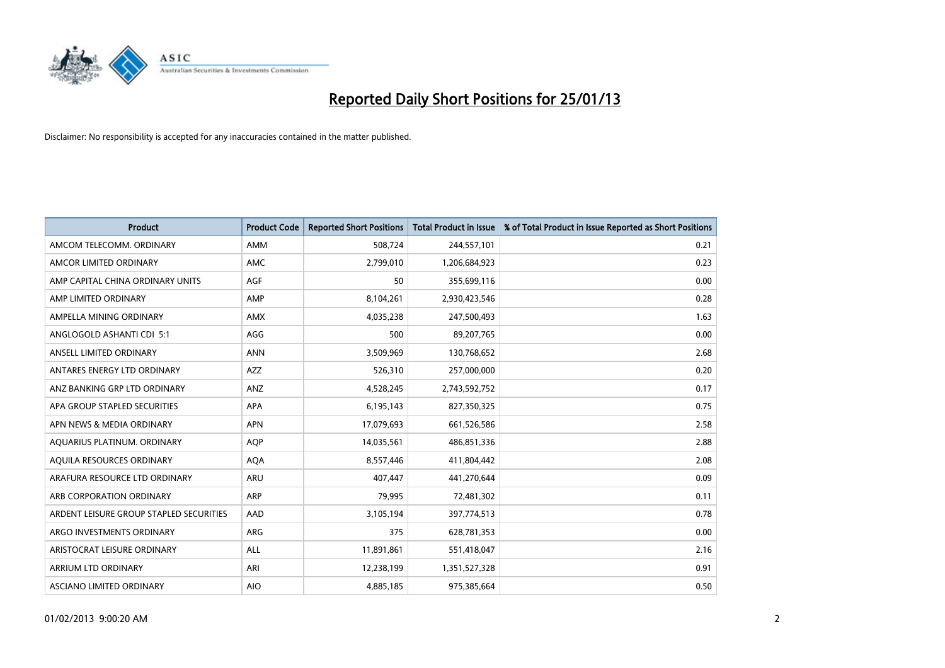

| <b>Product</b>                          | <b>Product Code</b> | <b>Reported Short Positions</b> | <b>Total Product in Issue</b> | % of Total Product in Issue Reported as Short Positions |
|-----------------------------------------|---------------------|---------------------------------|-------------------------------|---------------------------------------------------------|
| AMCOM TELECOMM, ORDINARY                | AMM                 | 508,724                         | 244,557,101                   | 0.21                                                    |
| AMCOR LIMITED ORDINARY                  | <b>AMC</b>          | 2,799,010                       | 1,206,684,923                 | 0.23                                                    |
| AMP CAPITAL CHINA ORDINARY UNITS        | <b>AGF</b>          | 50                              | 355,699,116                   | 0.00                                                    |
| AMP LIMITED ORDINARY                    | AMP                 | 8,104,261                       | 2,930,423,546                 | 0.28                                                    |
| AMPELLA MINING ORDINARY                 | <b>AMX</b>          | 4,035,238                       | 247,500,493                   | 1.63                                                    |
| ANGLOGOLD ASHANTI CDI 5:1               | AGG                 | 500                             | 89,207,765                    | 0.00                                                    |
| ANSELL LIMITED ORDINARY                 | <b>ANN</b>          | 3,509,969                       | 130,768,652                   | 2.68                                                    |
| ANTARES ENERGY LTD ORDINARY             | <b>AZZ</b>          | 526,310                         | 257,000,000                   | 0.20                                                    |
| ANZ BANKING GRP LTD ORDINARY            | ANZ                 | 4,528,245                       | 2,743,592,752                 | 0.17                                                    |
| APA GROUP STAPLED SECURITIES            | <b>APA</b>          | 6,195,143                       | 827,350,325                   | 0.75                                                    |
| APN NEWS & MEDIA ORDINARY               | <b>APN</b>          | 17,079,693                      | 661,526,586                   | 2.58                                                    |
| AQUARIUS PLATINUM. ORDINARY             | <b>AOP</b>          | 14,035,561                      | 486,851,336                   | 2.88                                                    |
| AQUILA RESOURCES ORDINARY               | <b>AQA</b>          | 8,557,446                       | 411,804,442                   | 2.08                                                    |
| ARAFURA RESOURCE LTD ORDINARY           | ARU                 | 407,447                         | 441,270,644                   | 0.09                                                    |
| ARB CORPORATION ORDINARY                | <b>ARP</b>          | 79,995                          | 72,481,302                    | 0.11                                                    |
| ARDENT LEISURE GROUP STAPLED SECURITIES | AAD                 | 3,105,194                       | 397,774,513                   | 0.78                                                    |
| ARGO INVESTMENTS ORDINARY               | ARG                 | 375                             | 628,781,353                   | 0.00                                                    |
| ARISTOCRAT LEISURE ORDINARY             | <b>ALL</b>          | 11,891,861                      | 551,418,047                   | 2.16                                                    |
| <b>ARRIUM LTD ORDINARY</b>              | ARI                 | 12,238,199                      | 1,351,527,328                 | 0.91                                                    |
| ASCIANO LIMITED ORDINARY                | <b>AIO</b>          | 4,885,185                       | 975,385,664                   | 0.50                                                    |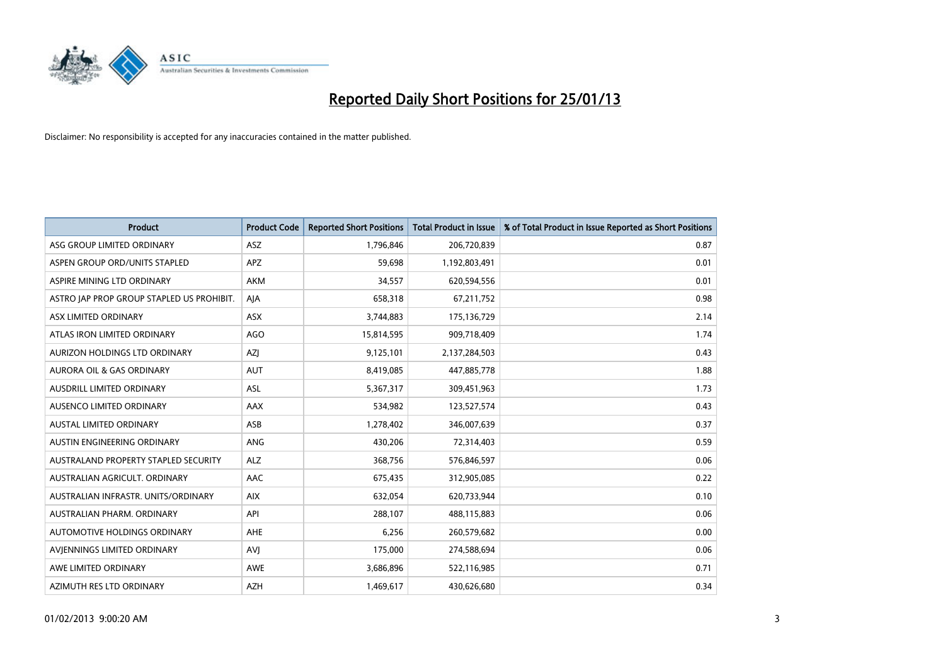

| <b>Product</b>                            | <b>Product Code</b> | <b>Reported Short Positions</b> | <b>Total Product in Issue</b> | % of Total Product in Issue Reported as Short Positions |
|-------------------------------------------|---------------------|---------------------------------|-------------------------------|---------------------------------------------------------|
| ASG GROUP LIMITED ORDINARY                | <b>ASZ</b>          | 1,796,846                       | 206,720,839                   | 0.87                                                    |
| ASPEN GROUP ORD/UNITS STAPLED             | <b>APZ</b>          | 59,698                          | 1,192,803,491                 | 0.01                                                    |
| ASPIRE MINING LTD ORDINARY                | <b>AKM</b>          | 34,557                          | 620,594,556                   | 0.01                                                    |
| ASTRO JAP PROP GROUP STAPLED US PROHIBIT. | AJA                 | 658,318                         | 67,211,752                    | 0.98                                                    |
| ASX LIMITED ORDINARY                      | ASX                 | 3,744,883                       | 175,136,729                   | 2.14                                                    |
| ATLAS IRON LIMITED ORDINARY               | <b>AGO</b>          | 15,814,595                      | 909,718,409                   | 1.74                                                    |
| AURIZON HOLDINGS LTD ORDINARY             | AZI                 | 9,125,101                       | 2,137,284,503                 | 0.43                                                    |
| <b>AURORA OIL &amp; GAS ORDINARY</b>      | <b>AUT</b>          | 8,419,085                       | 447,885,778                   | 1.88                                                    |
| AUSDRILL LIMITED ORDINARY                 | <b>ASL</b>          | 5,367,317                       | 309,451,963                   | 1.73                                                    |
| AUSENCO LIMITED ORDINARY                  | AAX                 | 534,982                         | 123,527,574                   | 0.43                                                    |
| AUSTAL LIMITED ORDINARY                   | ASB                 | 1,278,402                       | 346,007,639                   | 0.37                                                    |
| <b>AUSTIN ENGINEERING ORDINARY</b>        | <b>ANG</b>          | 430,206                         | 72,314,403                    | 0.59                                                    |
| AUSTRALAND PROPERTY STAPLED SECURITY      | <b>ALZ</b>          | 368,756                         | 576,846,597                   | 0.06                                                    |
| AUSTRALIAN AGRICULT. ORDINARY             | AAC                 | 675,435                         | 312,905,085                   | 0.22                                                    |
| AUSTRALIAN INFRASTR, UNITS/ORDINARY       | <b>AIX</b>          | 632,054                         | 620,733,944                   | 0.10                                                    |
| AUSTRALIAN PHARM. ORDINARY                | API                 | 288,107                         | 488,115,883                   | 0.06                                                    |
| AUTOMOTIVE HOLDINGS ORDINARY              | AHE                 | 6,256                           | 260,579,682                   | 0.00                                                    |
| AVJENNINGS LIMITED ORDINARY               | AVI                 | 175,000                         | 274,588,694                   | 0.06                                                    |
| AWE LIMITED ORDINARY                      | <b>AWE</b>          | 3,686,896                       | 522,116,985                   | 0.71                                                    |
| AZIMUTH RES LTD ORDINARY                  | <b>AZH</b>          | 1,469,617                       | 430,626,680                   | 0.34                                                    |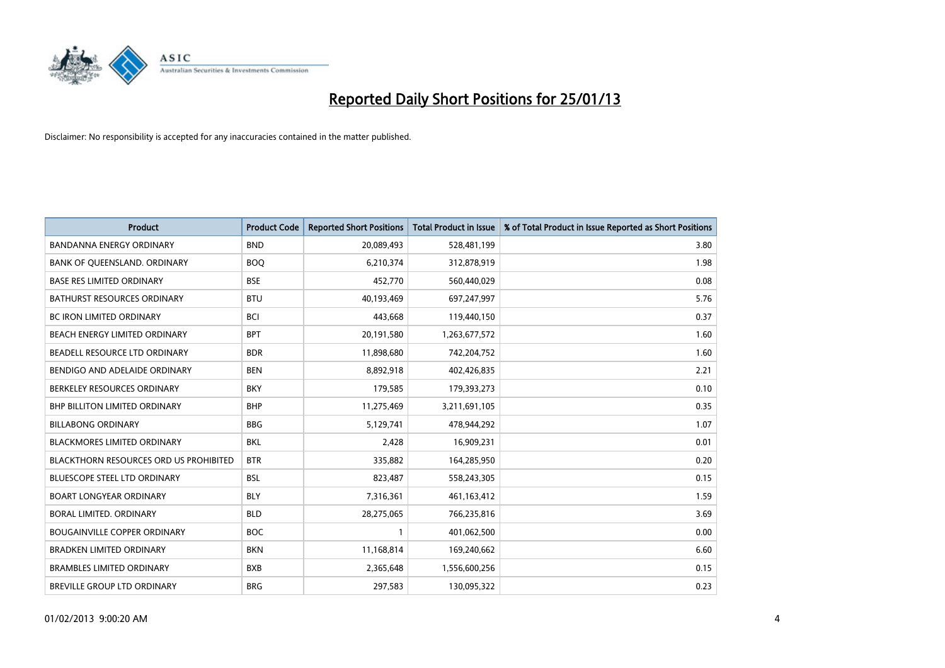

| <b>Product</b>                         | <b>Product Code</b> | <b>Reported Short Positions</b> | <b>Total Product in Issue</b> | % of Total Product in Issue Reported as Short Positions |
|----------------------------------------|---------------------|---------------------------------|-------------------------------|---------------------------------------------------------|
| <b>BANDANNA ENERGY ORDINARY</b>        | <b>BND</b>          | 20,089,493                      | 528,481,199                   | 3.80                                                    |
| BANK OF QUEENSLAND. ORDINARY           | <b>BOQ</b>          | 6,210,374                       | 312,878,919                   | 1.98                                                    |
| <b>BASE RES LIMITED ORDINARY</b>       | <b>BSE</b>          | 452,770                         | 560,440,029                   | 0.08                                                    |
| BATHURST RESOURCES ORDINARY            | <b>BTU</b>          | 40,193,469                      | 697,247,997                   | 5.76                                                    |
| <b>BC IRON LIMITED ORDINARY</b>        | <b>BCI</b>          | 443,668                         | 119,440,150                   | 0.37                                                    |
| BEACH ENERGY LIMITED ORDINARY          | <b>BPT</b>          | 20,191,580                      | 1,263,677,572                 | 1.60                                                    |
| BEADELL RESOURCE LTD ORDINARY          | <b>BDR</b>          | 11,898,680                      | 742,204,752                   | 1.60                                                    |
| BENDIGO AND ADELAIDE ORDINARY          | <b>BEN</b>          | 8,892,918                       | 402,426,835                   | 2.21                                                    |
| BERKELEY RESOURCES ORDINARY            | <b>BKY</b>          | 179,585                         | 179,393,273                   | 0.10                                                    |
| <b>BHP BILLITON LIMITED ORDINARY</b>   | <b>BHP</b>          | 11,275,469                      | 3,211,691,105                 | 0.35                                                    |
| <b>BILLABONG ORDINARY</b>              | <b>BBG</b>          | 5,129,741                       | 478,944,292                   | 1.07                                                    |
| <b>BLACKMORES LIMITED ORDINARY</b>     | <b>BKL</b>          | 2,428                           | 16,909,231                    | 0.01                                                    |
| BLACKTHORN RESOURCES ORD US PROHIBITED | <b>BTR</b>          | 335,882                         | 164,285,950                   | 0.20                                                    |
| <b>BLUESCOPE STEEL LTD ORDINARY</b>    | <b>BSL</b>          | 823,487                         | 558,243,305                   | 0.15                                                    |
| <b>BOART LONGYEAR ORDINARY</b>         | <b>BLY</b>          | 7,316,361                       | 461,163,412                   | 1.59                                                    |
| BORAL LIMITED. ORDINARY                | <b>BLD</b>          | 28,275,065                      | 766,235,816                   | 3.69                                                    |
| <b>BOUGAINVILLE COPPER ORDINARY</b>    | <b>BOC</b>          |                                 | 401,062,500                   | 0.00                                                    |
| BRADKEN LIMITED ORDINARY               | <b>BKN</b>          | 11,168,814                      | 169,240,662                   | 6.60                                                    |
| <b>BRAMBLES LIMITED ORDINARY</b>       | <b>BXB</b>          | 2,365,648                       | 1,556,600,256                 | 0.15                                                    |
| BREVILLE GROUP LTD ORDINARY            | <b>BRG</b>          | 297,583                         | 130,095,322                   | 0.23                                                    |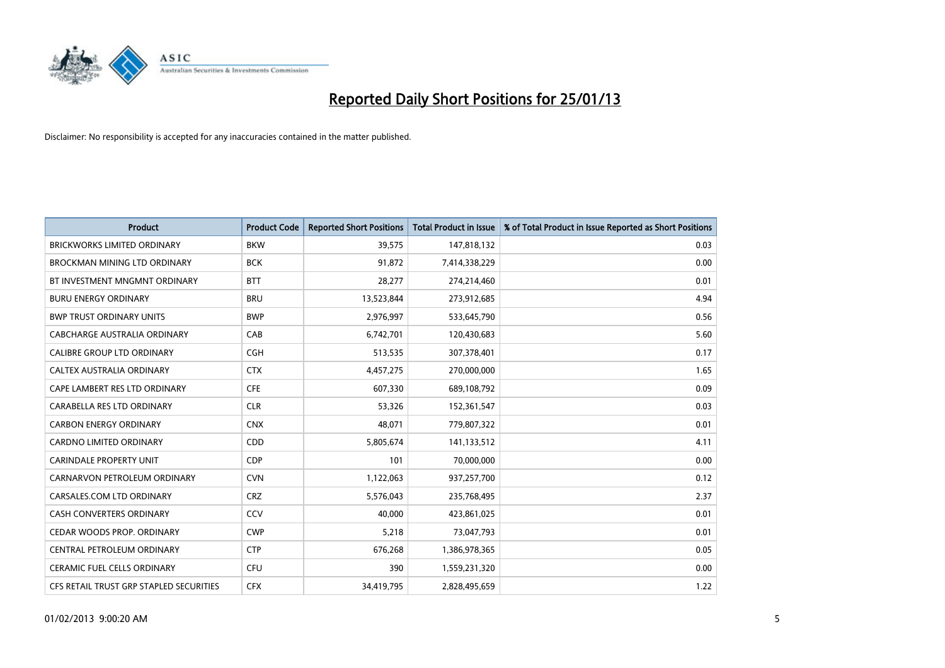

| <b>Product</b>                          | <b>Product Code</b> | <b>Reported Short Positions</b> | <b>Total Product in Issue</b> | % of Total Product in Issue Reported as Short Positions |
|-----------------------------------------|---------------------|---------------------------------|-------------------------------|---------------------------------------------------------|
| <b>BRICKWORKS LIMITED ORDINARY</b>      | <b>BKW</b>          | 39,575                          | 147,818,132                   | 0.03                                                    |
| BROCKMAN MINING LTD ORDINARY            | <b>BCK</b>          | 91,872                          | 7,414,338,229                 | 0.00                                                    |
| BT INVESTMENT MNGMNT ORDINARY           | <b>BTT</b>          | 28,277                          | 274,214,460                   | 0.01                                                    |
| <b>BURU ENERGY ORDINARY</b>             | <b>BRU</b>          | 13,523,844                      | 273,912,685                   | 4.94                                                    |
| <b>BWP TRUST ORDINARY UNITS</b>         | <b>BWP</b>          | 2,976,997                       | 533,645,790                   | 0.56                                                    |
| CABCHARGE AUSTRALIA ORDINARY            | CAB                 | 6,742,701                       | 120,430,683                   | 5.60                                                    |
| <b>CALIBRE GROUP LTD ORDINARY</b>       | <b>CGH</b>          | 513,535                         | 307,378,401                   | 0.17                                                    |
| CALTEX AUSTRALIA ORDINARY               | <b>CTX</b>          | 4,457,275                       | 270,000,000                   | 1.65                                                    |
| CAPE LAMBERT RES LTD ORDINARY           | <b>CFE</b>          | 607,330                         | 689,108,792                   | 0.09                                                    |
| CARABELLA RES LTD ORDINARY              | <b>CLR</b>          | 53,326                          | 152,361,547                   | 0.03                                                    |
| <b>CARBON ENERGY ORDINARY</b>           | <b>CNX</b>          | 48,071                          | 779,807,322                   | 0.01                                                    |
| <b>CARDNO LIMITED ORDINARY</b>          | CDD                 | 5,805,674                       | 141,133,512                   | 4.11                                                    |
| <b>CARINDALE PROPERTY UNIT</b>          | <b>CDP</b>          | 101                             | 70,000,000                    | 0.00                                                    |
| CARNARVON PETROLEUM ORDINARY            | <b>CVN</b>          | 1,122,063                       | 937,257,700                   | 0.12                                                    |
| CARSALES.COM LTD ORDINARY               | <b>CRZ</b>          | 5,576,043                       | 235,768,495                   | 2.37                                                    |
| CASH CONVERTERS ORDINARY                | CCV                 | 40,000                          | 423,861,025                   | 0.01                                                    |
| CEDAR WOODS PROP. ORDINARY              | <b>CWP</b>          | 5,218                           | 73,047,793                    | 0.01                                                    |
| CENTRAL PETROLEUM ORDINARY              | <b>CTP</b>          | 676,268                         | 1,386,978,365                 | 0.05                                                    |
| CERAMIC FUEL CELLS ORDINARY             | CFU                 | 390                             | 1,559,231,320                 | 0.00                                                    |
| CFS RETAIL TRUST GRP STAPLED SECURITIES | <b>CFX</b>          | 34,419,795                      | 2,828,495,659                 | 1.22                                                    |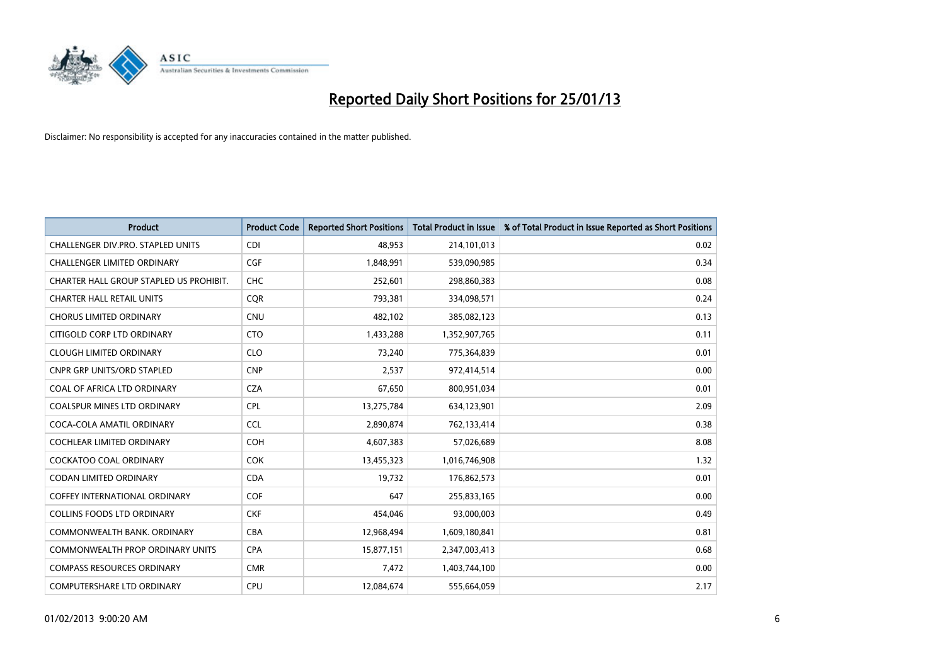

| <b>Product</b>                          | <b>Product Code</b> | <b>Reported Short Positions</b> | <b>Total Product in Issue</b> | % of Total Product in Issue Reported as Short Positions |
|-----------------------------------------|---------------------|---------------------------------|-------------------------------|---------------------------------------------------------|
| CHALLENGER DIV.PRO. STAPLED UNITS       | <b>CDI</b>          | 48,953                          | 214,101,013                   | 0.02                                                    |
| CHALLENGER LIMITED ORDINARY             | <b>CGF</b>          | 1,848,991                       | 539,090,985                   | 0.34                                                    |
| CHARTER HALL GROUP STAPLED US PROHIBIT. | <b>CHC</b>          | 252,601                         | 298,860,383                   | 0.08                                                    |
| <b>CHARTER HALL RETAIL UNITS</b>        | <b>CQR</b>          | 793,381                         | 334,098,571                   | 0.24                                                    |
| <b>CHORUS LIMITED ORDINARY</b>          | <b>CNU</b>          | 482,102                         | 385,082,123                   | 0.13                                                    |
| CITIGOLD CORP LTD ORDINARY              | <b>CTO</b>          | 1,433,288                       | 1,352,907,765                 | 0.11                                                    |
| <b>CLOUGH LIMITED ORDINARY</b>          | <b>CLO</b>          | 73,240                          | 775,364,839                   | 0.01                                                    |
| <b>CNPR GRP UNITS/ORD STAPLED</b>       | <b>CNP</b>          | 2,537                           | 972,414,514                   | 0.00                                                    |
| COAL OF AFRICA LTD ORDINARY             | <b>CZA</b>          | 67,650                          | 800,951,034                   | 0.01                                                    |
| <b>COALSPUR MINES LTD ORDINARY</b>      | <b>CPL</b>          | 13,275,784                      | 634,123,901                   | 2.09                                                    |
| COCA-COLA AMATIL ORDINARY               | <b>CCL</b>          | 2,890,874                       | 762,133,414                   | 0.38                                                    |
| <b>COCHLEAR LIMITED ORDINARY</b>        | <b>COH</b>          | 4,607,383                       | 57,026,689                    | 8.08                                                    |
| COCKATOO COAL ORDINARY                  | <b>COK</b>          | 13,455,323                      | 1,016,746,908                 | 1.32                                                    |
| <b>CODAN LIMITED ORDINARY</b>           | <b>CDA</b>          | 19,732                          | 176,862,573                   | 0.01                                                    |
| <b>COFFEY INTERNATIONAL ORDINARY</b>    | <b>COF</b>          | 647                             | 255,833,165                   | 0.00                                                    |
| <b>COLLINS FOODS LTD ORDINARY</b>       | <b>CKF</b>          | 454,046                         | 93,000,003                    | 0.49                                                    |
| COMMONWEALTH BANK, ORDINARY             | <b>CBA</b>          | 12,968,494                      | 1,609,180,841                 | 0.81                                                    |
| COMMONWEALTH PROP ORDINARY UNITS        | <b>CPA</b>          | 15,877,151                      | 2,347,003,413                 | 0.68                                                    |
| <b>COMPASS RESOURCES ORDINARY</b>       | <b>CMR</b>          | 7,472                           | 1,403,744,100                 | 0.00                                                    |
| COMPUTERSHARE LTD ORDINARY              | <b>CPU</b>          | 12,084,674                      | 555,664,059                   | 2.17                                                    |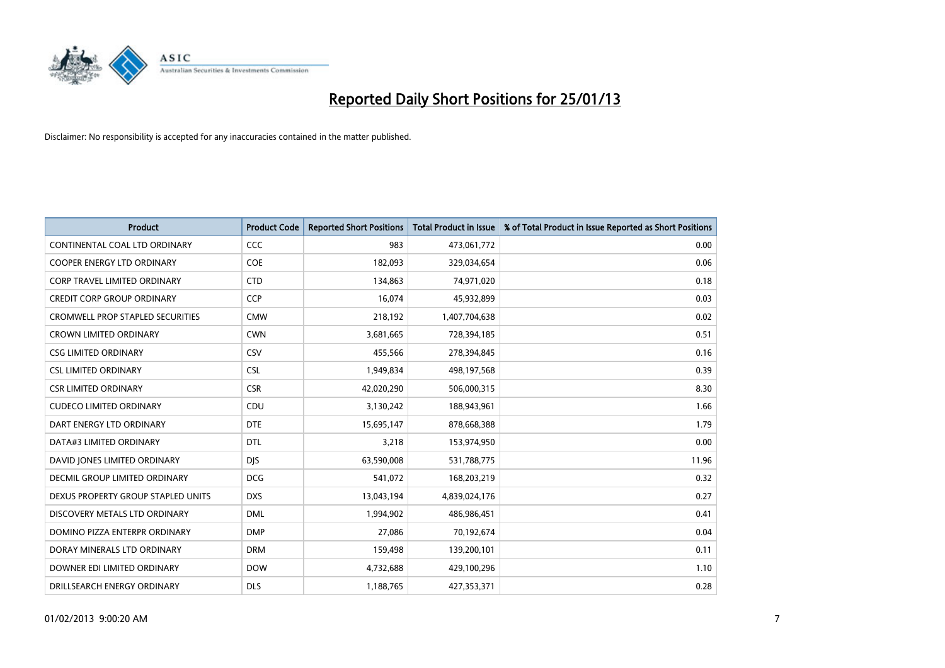

| <b>Product</b>                          | <b>Product Code</b> | <b>Reported Short Positions</b> | Total Product in Issue | % of Total Product in Issue Reported as Short Positions |
|-----------------------------------------|---------------------|---------------------------------|------------------------|---------------------------------------------------------|
| CONTINENTAL COAL LTD ORDINARY           | <b>CCC</b>          | 983                             | 473,061,772            | 0.00                                                    |
| <b>COOPER ENERGY LTD ORDINARY</b>       | <b>COE</b>          | 182,093                         | 329,034,654            | 0.06                                                    |
| <b>CORP TRAVEL LIMITED ORDINARY</b>     | <b>CTD</b>          | 134,863                         | 74,971,020             | 0.18                                                    |
| <b>CREDIT CORP GROUP ORDINARY</b>       | <b>CCP</b>          | 16,074                          | 45,932,899             | 0.03                                                    |
| <b>CROMWELL PROP STAPLED SECURITIES</b> | <b>CMW</b>          | 218,192                         | 1,407,704,638          | 0.02                                                    |
| <b>CROWN LIMITED ORDINARY</b>           | <b>CWN</b>          | 3,681,665                       | 728,394,185            | 0.51                                                    |
| <b>CSG LIMITED ORDINARY</b>             | CSV                 | 455.566                         | 278,394,845            | 0.16                                                    |
| <b>CSL LIMITED ORDINARY</b>             | <b>CSL</b>          | 1,949,834                       | 498,197,568            | 0.39                                                    |
| <b>CSR LIMITED ORDINARY</b>             | <b>CSR</b>          | 42,020,290                      | 506,000,315            | 8.30                                                    |
| <b>CUDECO LIMITED ORDINARY</b>          | CDU                 | 3,130,242                       | 188,943,961            | 1.66                                                    |
| DART ENERGY LTD ORDINARY                | <b>DTE</b>          | 15,695,147                      | 878,668,388            | 1.79                                                    |
| DATA#3 LIMITED ORDINARY                 | <b>DTL</b>          | 3,218                           | 153,974,950            | 0.00                                                    |
| DAVID JONES LIMITED ORDINARY            | <b>DIS</b>          | 63,590,008                      | 531,788,775            | 11.96                                                   |
| DECMIL GROUP LIMITED ORDINARY           | <b>DCG</b>          | 541,072                         | 168,203,219            | 0.32                                                    |
| DEXUS PROPERTY GROUP STAPLED UNITS      | <b>DXS</b>          | 13,043,194                      | 4,839,024,176          | 0.27                                                    |
| DISCOVERY METALS LTD ORDINARY           | <b>DML</b>          | 1,994,902                       | 486,986,451            | 0.41                                                    |
| DOMINO PIZZA ENTERPR ORDINARY           | <b>DMP</b>          | 27,086                          | 70,192,674             | 0.04                                                    |
| DORAY MINERALS LTD ORDINARY             | <b>DRM</b>          | 159,498                         | 139,200,101            | 0.11                                                    |
| DOWNER EDI LIMITED ORDINARY             | <b>DOW</b>          | 4,732,688                       | 429,100,296            | 1.10                                                    |
| DRILLSEARCH ENERGY ORDINARY             | <b>DLS</b>          | 1,188,765                       | 427,353,371            | 0.28                                                    |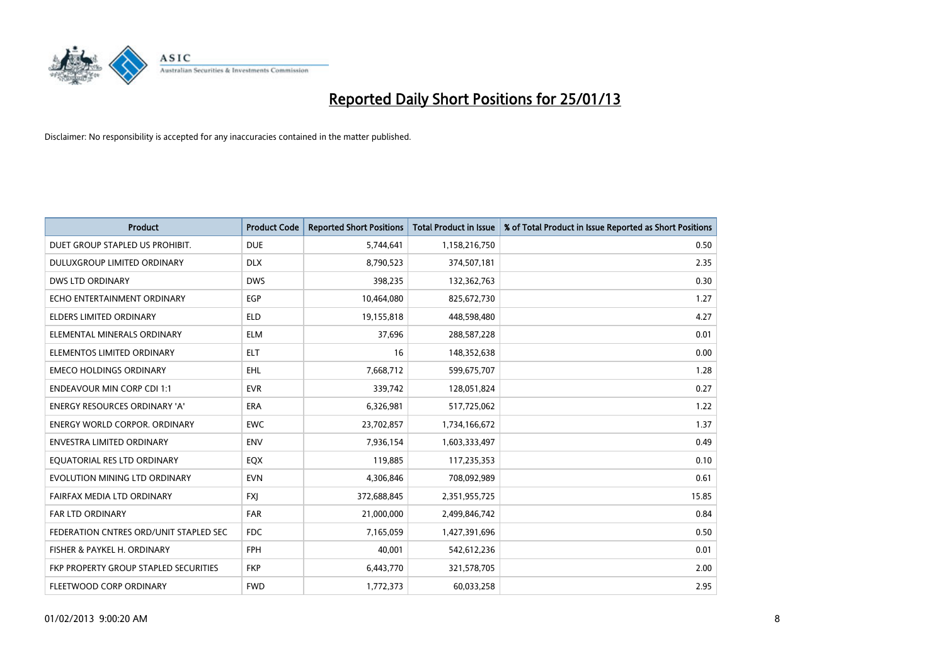

| <b>Product</b>                         | <b>Product Code</b> | <b>Reported Short Positions</b> | <b>Total Product in Issue</b> | % of Total Product in Issue Reported as Short Positions |
|----------------------------------------|---------------------|---------------------------------|-------------------------------|---------------------------------------------------------|
| DUET GROUP STAPLED US PROHIBIT.        | <b>DUE</b>          | 5,744,641                       | 1,158,216,750                 | 0.50                                                    |
| DULUXGROUP LIMITED ORDINARY            | <b>DLX</b>          | 8,790,523                       | 374,507,181                   | 2.35                                                    |
| <b>DWS LTD ORDINARY</b>                | <b>DWS</b>          | 398,235                         | 132,362,763                   | 0.30                                                    |
| ECHO ENTERTAINMENT ORDINARY            | EGP                 | 10,464,080                      | 825,672,730                   | 1.27                                                    |
| <b>ELDERS LIMITED ORDINARY</b>         | <b>ELD</b>          | 19,155,818                      | 448,598,480                   | 4.27                                                    |
| ELEMENTAL MINERALS ORDINARY            | <b>ELM</b>          | 37,696                          | 288,587,228                   | 0.01                                                    |
| ELEMENTOS LIMITED ORDINARY             | <b>ELT</b>          | 16                              | 148,352,638                   | 0.00                                                    |
| <b>EMECO HOLDINGS ORDINARY</b>         | <b>EHL</b>          | 7,668,712                       | 599,675,707                   | 1.28                                                    |
| <b>ENDEAVOUR MIN CORP CDI 1:1</b>      | <b>EVR</b>          | 339,742                         | 128,051,824                   | 0.27                                                    |
| <b>ENERGY RESOURCES ORDINARY 'A'</b>   | <b>ERA</b>          | 6,326,981                       | 517,725,062                   | 1.22                                                    |
| <b>ENERGY WORLD CORPOR. ORDINARY</b>   | <b>EWC</b>          | 23,702,857                      | 1,734,166,672                 | 1.37                                                    |
| <b>ENVESTRA LIMITED ORDINARY</b>       | <b>ENV</b>          | 7,936,154                       | 1,603,333,497                 | 0.49                                                    |
| EQUATORIAL RES LTD ORDINARY            | <b>EQX</b>          | 119,885                         | 117,235,353                   | 0.10                                                    |
| EVOLUTION MINING LTD ORDINARY          | <b>EVN</b>          | 4,306,846                       | 708,092,989                   | 0.61                                                    |
| FAIRFAX MEDIA LTD ORDINARY             | <b>FXI</b>          | 372,688,845                     | 2,351,955,725                 | 15.85                                                   |
| FAR LTD ORDINARY                       | <b>FAR</b>          | 21,000,000                      | 2,499,846,742                 | 0.84                                                    |
| FEDERATION CNTRES ORD/UNIT STAPLED SEC | <b>FDC</b>          | 7,165,059                       | 1,427,391,696                 | 0.50                                                    |
| FISHER & PAYKEL H. ORDINARY            | <b>FPH</b>          | 40,001                          | 542,612,236                   | 0.01                                                    |
| FKP PROPERTY GROUP STAPLED SECURITIES  | <b>FKP</b>          | 6,443,770                       | 321,578,705                   | 2.00                                                    |
| FLEETWOOD CORP ORDINARY                | <b>FWD</b>          | 1,772,373                       | 60,033,258                    | 2.95                                                    |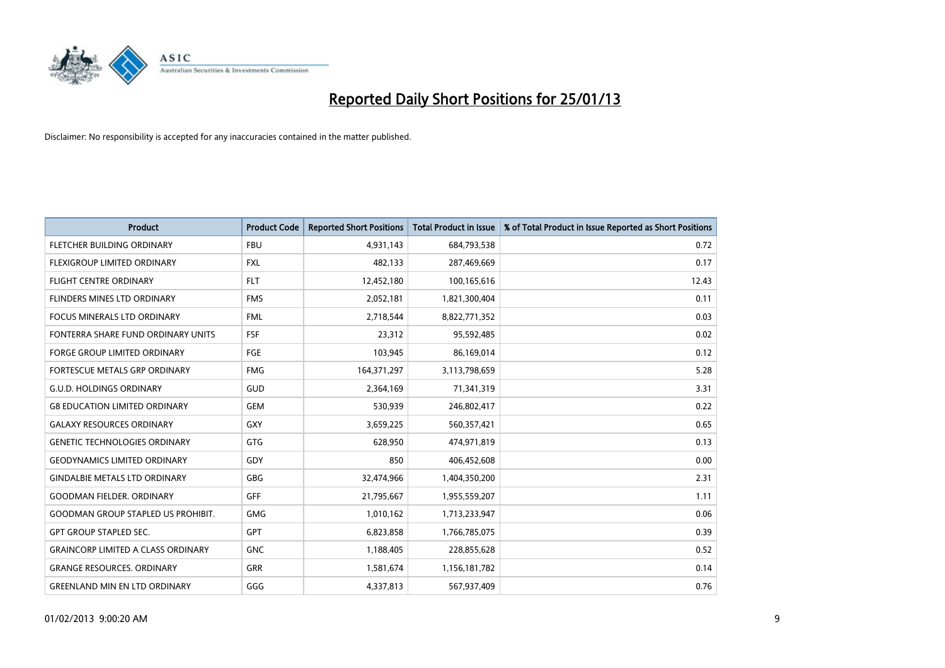

| <b>Product</b>                            | <b>Product Code</b> | <b>Reported Short Positions</b> | <b>Total Product in Issue</b> | % of Total Product in Issue Reported as Short Positions |
|-------------------------------------------|---------------------|---------------------------------|-------------------------------|---------------------------------------------------------|
| FLETCHER BUILDING ORDINARY                | <b>FBU</b>          | 4,931,143                       | 684,793,538                   | 0.72                                                    |
| <b>FLEXIGROUP LIMITED ORDINARY</b>        | <b>FXL</b>          | 482,133                         | 287,469,669                   | 0.17                                                    |
| <b>FLIGHT CENTRE ORDINARY</b>             | <b>FLT</b>          | 12,452,180                      | 100,165,616                   | 12.43                                                   |
| FLINDERS MINES LTD ORDINARY               | <b>FMS</b>          | 2,052,181                       | 1,821,300,404                 | 0.11                                                    |
| <b>FOCUS MINERALS LTD ORDINARY</b>        | <b>FML</b>          | 2,718,544                       | 8,822,771,352                 | 0.03                                                    |
| FONTERRA SHARE FUND ORDINARY UNITS        | <b>FSF</b>          | 23,312                          | 95,592,485                    | 0.02                                                    |
| <b>FORGE GROUP LIMITED ORDINARY</b>       | <b>FGE</b>          | 103,945                         | 86,169,014                    | 0.12                                                    |
| FORTESCUE METALS GRP ORDINARY             | <b>FMG</b>          | 164, 371, 297                   | 3,113,798,659                 | 5.28                                                    |
| <b>G.U.D. HOLDINGS ORDINARY</b>           | GUD                 | 2,364,169                       | 71,341,319                    | 3.31                                                    |
| <b>G8 EDUCATION LIMITED ORDINARY</b>      | <b>GEM</b>          | 530,939                         | 246,802,417                   | 0.22                                                    |
| <b>GALAXY RESOURCES ORDINARY</b>          | <b>GXY</b>          | 3,659,225                       | 560,357,421                   | 0.65                                                    |
| <b>GENETIC TECHNOLOGIES ORDINARY</b>      | <b>GTG</b>          | 628,950                         | 474,971,819                   | 0.13                                                    |
| <b>GEODYNAMICS LIMITED ORDINARY</b>       | GDY                 | 850                             | 406,452,608                   | 0.00                                                    |
| <b>GINDALBIE METALS LTD ORDINARY</b>      | <b>GBG</b>          | 32,474,966                      | 1,404,350,200                 | 2.31                                                    |
| <b>GOODMAN FIELDER, ORDINARY</b>          | GFF                 | 21,795,667                      | 1,955,559,207                 | 1.11                                                    |
| <b>GOODMAN GROUP STAPLED US PROHIBIT.</b> | <b>GMG</b>          | 1,010,162                       | 1,713,233,947                 | 0.06                                                    |
| <b>GPT GROUP STAPLED SEC.</b>             | <b>GPT</b>          | 6,823,858                       | 1,766,785,075                 | 0.39                                                    |
| <b>GRAINCORP LIMITED A CLASS ORDINARY</b> | <b>GNC</b>          | 1,188,405                       | 228,855,628                   | 0.52                                                    |
| <b>GRANGE RESOURCES. ORDINARY</b>         | <b>GRR</b>          | 1,581,674                       | 1,156,181,782                 | 0.14                                                    |
| <b>GREENLAND MIN EN LTD ORDINARY</b>      | GGG                 | 4,337,813                       | 567,937,409                   | 0.76                                                    |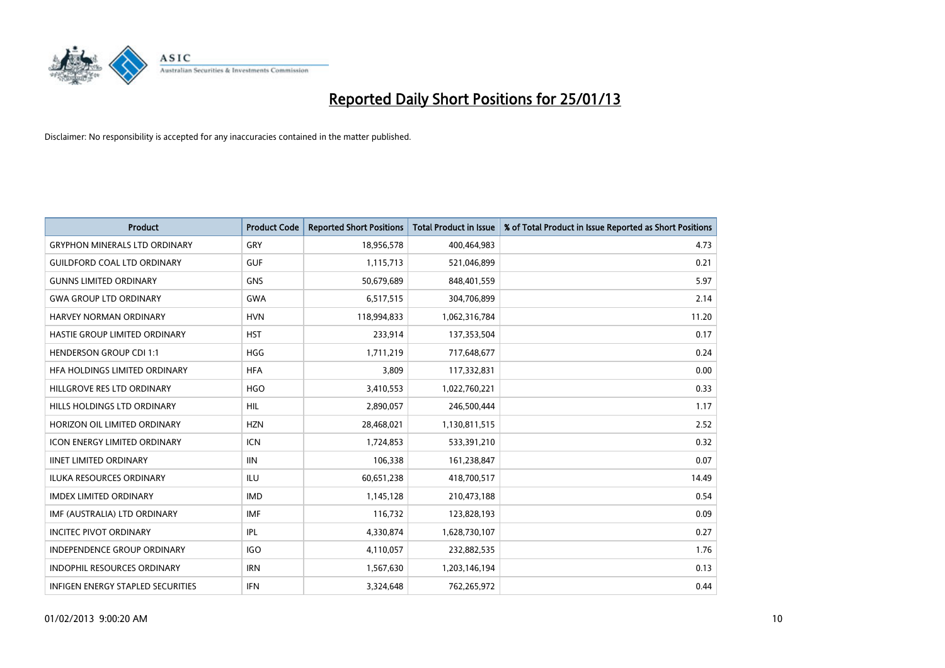

| <b>Product</b>                       | <b>Product Code</b> | <b>Reported Short Positions</b> | <b>Total Product in Issue</b> | % of Total Product in Issue Reported as Short Positions |
|--------------------------------------|---------------------|---------------------------------|-------------------------------|---------------------------------------------------------|
| <b>GRYPHON MINERALS LTD ORDINARY</b> | GRY                 | 18,956,578                      | 400,464,983                   | 4.73                                                    |
| <b>GUILDFORD COAL LTD ORDINARY</b>   | <b>GUF</b>          | 1,115,713                       | 521,046,899                   | 0.21                                                    |
| <b>GUNNS LIMITED ORDINARY</b>        | <b>GNS</b>          | 50,679,689                      | 848,401,559                   | 5.97                                                    |
| <b>GWA GROUP LTD ORDINARY</b>        | <b>GWA</b>          | 6,517,515                       | 304,706,899                   | 2.14                                                    |
| HARVEY NORMAN ORDINARY               | <b>HVN</b>          | 118,994,833                     | 1,062,316,784                 | 11.20                                                   |
| HASTIE GROUP LIMITED ORDINARY        | <b>HST</b>          | 233,914                         | 137,353,504                   | 0.17                                                    |
| <b>HENDERSON GROUP CDI 1:1</b>       | <b>HGG</b>          | 1,711,219                       | 717,648,677                   | 0.24                                                    |
| HFA HOLDINGS LIMITED ORDINARY        | <b>HFA</b>          | 3,809                           | 117,332,831                   | 0.00                                                    |
| HILLGROVE RES LTD ORDINARY           | <b>HGO</b>          | 3,410,553                       | 1,022,760,221                 | 0.33                                                    |
| HILLS HOLDINGS LTD ORDINARY          | <b>HIL</b>          | 2,890,057                       | 246,500,444                   | 1.17                                                    |
| HORIZON OIL LIMITED ORDINARY         | <b>HZN</b>          | 28,468,021                      | 1,130,811,515                 | 2.52                                                    |
| <b>ICON ENERGY LIMITED ORDINARY</b>  | <b>ICN</b>          | 1,724,853                       | 533,391,210                   | 0.32                                                    |
| <b>IINET LIMITED ORDINARY</b>        | <b>IIN</b>          | 106,338                         | 161,238,847                   | 0.07                                                    |
| <b>ILUKA RESOURCES ORDINARY</b>      | ILU                 | 60,651,238                      | 418,700,517                   | 14.49                                                   |
| <b>IMDEX LIMITED ORDINARY</b>        | <b>IMD</b>          | 1,145,128                       | 210,473,188                   | 0.54                                                    |
| IMF (AUSTRALIA) LTD ORDINARY         | <b>IMF</b>          | 116,732                         | 123,828,193                   | 0.09                                                    |
| <b>INCITEC PIVOT ORDINARY</b>        | IPL                 | 4,330,874                       | 1,628,730,107                 | 0.27                                                    |
| INDEPENDENCE GROUP ORDINARY          | <b>IGO</b>          | 4,110,057                       | 232,882,535                   | 1.76                                                    |
| <b>INDOPHIL RESOURCES ORDINARY</b>   | <b>IRN</b>          | 1,567,630                       | 1,203,146,194                 | 0.13                                                    |
| INFIGEN ENERGY STAPLED SECURITIES    | <b>IFN</b>          | 3,324,648                       | 762,265,972                   | 0.44                                                    |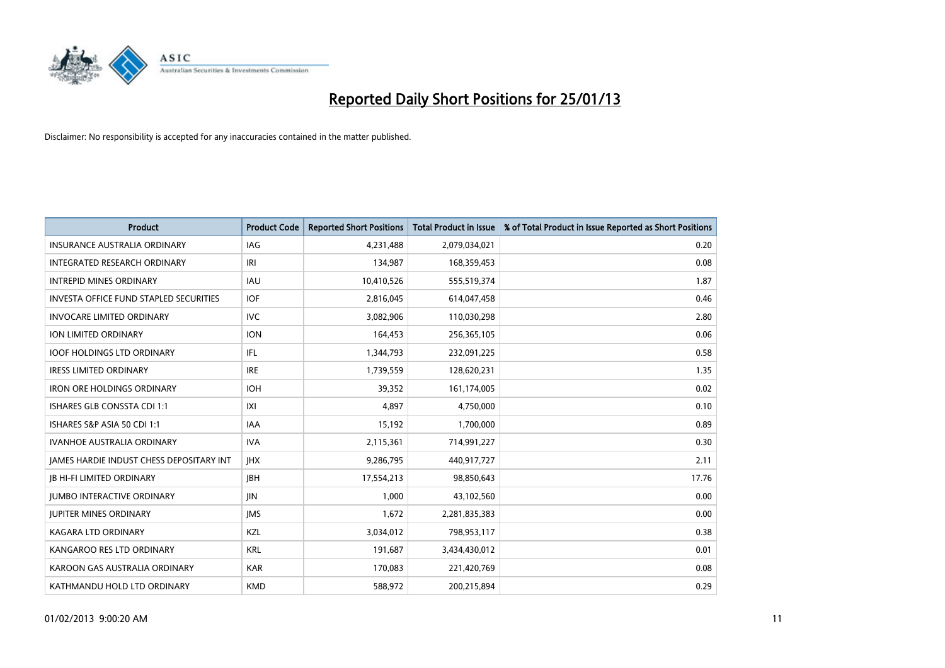

| <b>Product</b>                                  | <b>Product Code</b> | <b>Reported Short Positions</b> | <b>Total Product in Issue</b> | % of Total Product in Issue Reported as Short Positions |
|-------------------------------------------------|---------------------|---------------------------------|-------------------------------|---------------------------------------------------------|
| <b>INSURANCE AUSTRALIA ORDINARY</b>             | IAG                 | 4,231,488                       | 2,079,034,021                 | 0.20                                                    |
| <b>INTEGRATED RESEARCH ORDINARY</b>             | IRI                 | 134,987                         | 168,359,453                   | 0.08                                                    |
| <b>INTREPID MINES ORDINARY</b>                  | <b>IAU</b>          | 10,410,526                      | 555,519,374                   | 1.87                                                    |
| <b>INVESTA OFFICE FUND STAPLED SECURITIES</b>   | <b>IOF</b>          | 2,816,045                       | 614,047,458                   | 0.46                                                    |
| <b>INVOCARE LIMITED ORDINARY</b>                | <b>IVC</b>          | 3,082,906                       | 110,030,298                   | 2.80                                                    |
| ION LIMITED ORDINARY                            | <b>ION</b>          | 164,453                         | 256,365,105                   | 0.06                                                    |
| <b>IOOF HOLDINGS LTD ORDINARY</b>               | IFL                 | 1,344,793                       | 232,091,225                   | 0.58                                                    |
| <b>IRESS LIMITED ORDINARY</b>                   | <b>IRE</b>          | 1,739,559                       | 128,620,231                   | 1.35                                                    |
| <b>IRON ORE HOLDINGS ORDINARY</b>               | <b>IOH</b>          | 39,352                          | 161,174,005                   | 0.02                                                    |
| <b>ISHARES GLB CONSSTA CDI 1:1</b>              | X                   | 4.897                           | 4,750,000                     | 0.10                                                    |
| ISHARES S&P ASIA 50 CDI 1:1                     | <b>IAA</b>          | 15,192                          | 1,700,000                     | 0.89                                                    |
| <b>IVANHOE AUSTRALIA ORDINARY</b>               | <b>IVA</b>          | 2,115,361                       | 714,991,227                   | 0.30                                                    |
| <b>IAMES HARDIE INDUST CHESS DEPOSITARY INT</b> | <b>IHX</b>          | 9,286,795                       | 440,917,727                   | 2.11                                                    |
| <b>JB HI-FI LIMITED ORDINARY</b>                | <b>IBH</b>          | 17,554,213                      | 98,850,643                    | 17.76                                                   |
| <b>JUMBO INTERACTIVE ORDINARY</b>               | <b>JIN</b>          | 1,000                           | 43,102,560                    | 0.00                                                    |
| <b>JUPITER MINES ORDINARY</b>                   | <b>IMS</b>          | 1,672                           | 2,281,835,383                 | 0.00                                                    |
| <b>KAGARA LTD ORDINARY</b>                      | <b>KZL</b>          | 3,034,012                       | 798,953,117                   | 0.38                                                    |
| KANGAROO RES LTD ORDINARY                       | <b>KRL</b>          | 191,687                         | 3,434,430,012                 | 0.01                                                    |
| KAROON GAS AUSTRALIA ORDINARY                   | <b>KAR</b>          | 170,083                         | 221,420,769                   | 0.08                                                    |
| KATHMANDU HOLD LTD ORDINARY                     | <b>KMD</b>          | 588.972                         | 200,215,894                   | 0.29                                                    |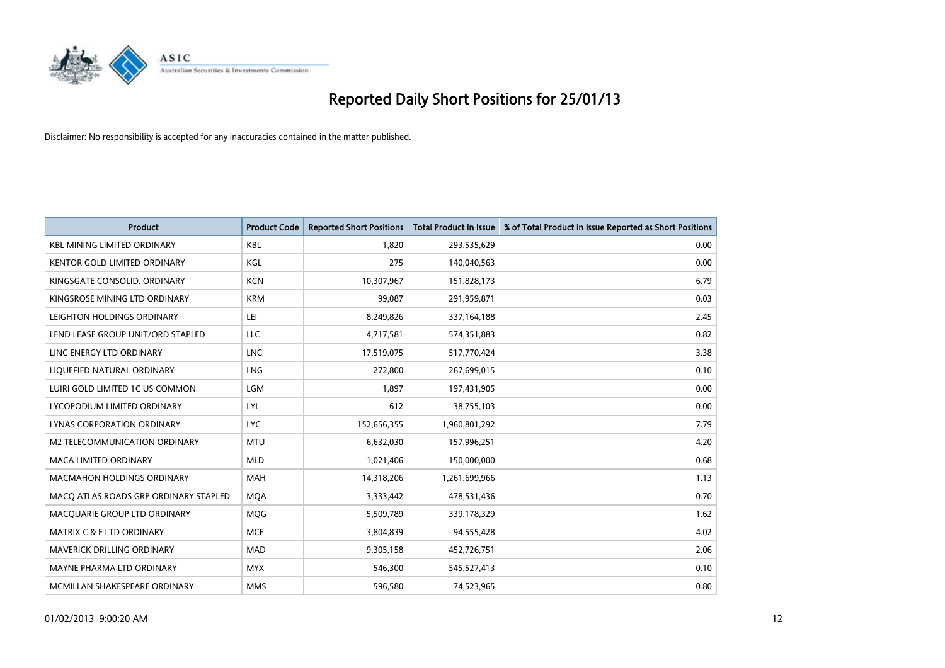

| <b>Product</b>                        | <b>Product Code</b> | <b>Reported Short Positions</b> | <b>Total Product in Issue</b> | % of Total Product in Issue Reported as Short Positions |
|---------------------------------------|---------------------|---------------------------------|-------------------------------|---------------------------------------------------------|
| <b>KBL MINING LIMITED ORDINARY</b>    | <b>KBL</b>          | 1.820                           | 293,535,629                   | 0.00                                                    |
| KENTOR GOLD LIMITED ORDINARY          | KGL                 | 275                             | 140,040,563                   | 0.00                                                    |
| KINGSGATE CONSOLID. ORDINARY          | <b>KCN</b>          | 10,307,967                      | 151,828,173                   | 6.79                                                    |
| KINGSROSE MINING LTD ORDINARY         | <b>KRM</b>          | 99,087                          | 291,959,871                   | 0.03                                                    |
| LEIGHTON HOLDINGS ORDINARY            | LEI                 | 8,249,826                       | 337, 164, 188                 | 2.45                                                    |
| LEND LEASE GROUP UNIT/ORD STAPLED     | <b>LLC</b>          | 4,717,581                       | 574,351,883                   | 0.82                                                    |
| LINC ENERGY LTD ORDINARY              | <b>LNC</b>          | 17,519,075                      | 517,770,424                   | 3.38                                                    |
| LIQUEFIED NATURAL ORDINARY            | <b>LNG</b>          | 272,800                         | 267,699,015                   | 0.10                                                    |
| LUIRI GOLD LIMITED 1C US COMMON       | LGM                 | 1.897                           | 197,431,905                   | 0.00                                                    |
| LYCOPODIUM LIMITED ORDINARY           | LYL                 | 612                             | 38,755,103                    | 0.00                                                    |
| LYNAS CORPORATION ORDINARY            | <b>LYC</b>          | 152,656,355                     | 1,960,801,292                 | 7.79                                                    |
| M2 TELECOMMUNICATION ORDINARY         | <b>MTU</b>          | 6,632,030                       | 157,996,251                   | 4.20                                                    |
| MACA LIMITED ORDINARY                 | <b>MLD</b>          | 1,021,406                       | 150,000,000                   | 0.68                                                    |
| <b>MACMAHON HOLDINGS ORDINARY</b>     | <b>MAH</b>          | 14,318,206                      | 1,261,699,966                 | 1.13                                                    |
| MACQ ATLAS ROADS GRP ORDINARY STAPLED | <b>MOA</b>          | 3,333,442                       | 478,531,436                   | 0.70                                                    |
| MACQUARIE GROUP LTD ORDINARY          | <b>MOG</b>          | 5,509,789                       | 339,178,329                   | 1.62                                                    |
| MATRIX C & E LTD ORDINARY             | <b>MCE</b>          | 3,804,839                       | 94,555,428                    | 4.02                                                    |
| MAVERICK DRILLING ORDINARY            | <b>MAD</b>          | 9,305,158                       | 452,726,751                   | 2.06                                                    |
| MAYNE PHARMA LTD ORDINARY             | <b>MYX</b>          | 546,300                         | 545,527,413                   | 0.10                                                    |
| MCMILLAN SHAKESPEARE ORDINARY         | <b>MMS</b>          | 596,580                         | 74,523,965                    | 0.80                                                    |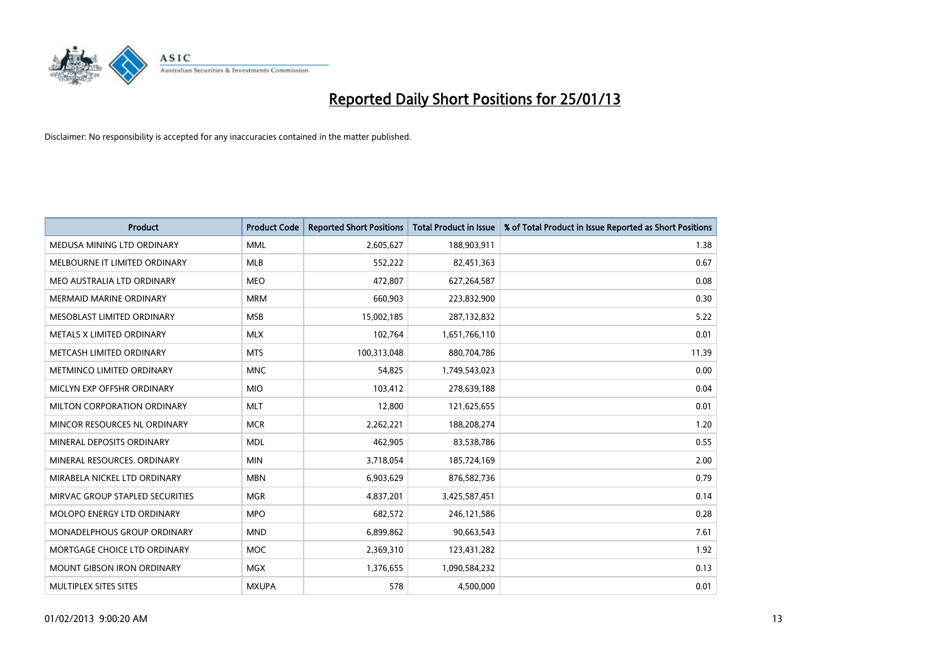

| <b>Product</b>                     | <b>Product Code</b> | <b>Reported Short Positions</b> | <b>Total Product in Issue</b> | % of Total Product in Issue Reported as Short Positions |
|------------------------------------|---------------------|---------------------------------|-------------------------------|---------------------------------------------------------|
| MEDUSA MINING LTD ORDINARY         | <b>MML</b>          | 2,605,627                       | 188,903,911                   | 1.38                                                    |
| MELBOURNE IT LIMITED ORDINARY      | <b>MLB</b>          | 552,222                         | 82,451,363                    | 0.67                                                    |
| MEO AUSTRALIA LTD ORDINARY         | <b>MEO</b>          | 472,807                         | 627,264,587                   | 0.08                                                    |
| <b>MERMAID MARINE ORDINARY</b>     | <b>MRM</b>          | 660.903                         | 223,832,900                   | 0.30                                                    |
| MESOBLAST LIMITED ORDINARY         | <b>MSB</b>          | 15,002,185                      | 287,132,832                   | 5.22                                                    |
| METALS X LIMITED ORDINARY          | <b>MLX</b>          | 102,764                         | 1,651,766,110                 | 0.01                                                    |
| METCASH LIMITED ORDINARY           | <b>MTS</b>          | 100,313,048                     | 880,704,786                   | 11.39                                                   |
| METMINCO LIMITED ORDINARY          | <b>MNC</b>          | 54,825                          | 1,749,543,023                 | 0.00                                                    |
| MICLYN EXP OFFSHR ORDINARY         | <b>MIO</b>          | 103,412                         | 278,639,188                   | 0.04                                                    |
| MILTON CORPORATION ORDINARY        | <b>MLT</b>          | 12,800                          | 121,625,655                   | 0.01                                                    |
| MINCOR RESOURCES NL ORDINARY       | <b>MCR</b>          | 2,262,221                       | 188,208,274                   | 1.20                                                    |
| MINERAL DEPOSITS ORDINARY          | <b>MDL</b>          | 462,905                         | 83,538,786                    | 0.55                                                    |
| MINERAL RESOURCES. ORDINARY        | <b>MIN</b>          | 3,718,054                       | 185,724,169                   | 2.00                                                    |
| MIRABELA NICKEL LTD ORDINARY       | <b>MBN</b>          | 6,903,629                       | 876,582,736                   | 0.79                                                    |
| MIRVAC GROUP STAPLED SECURITIES    | <b>MGR</b>          | 4,837,201                       | 3,425,587,451                 | 0.14                                                    |
| <b>MOLOPO ENERGY LTD ORDINARY</b>  | <b>MPO</b>          | 682,572                         | 246,121,586                   | 0.28                                                    |
| <b>MONADELPHOUS GROUP ORDINARY</b> | <b>MND</b>          | 6,899,862                       | 90,663,543                    | 7.61                                                    |
| MORTGAGE CHOICE LTD ORDINARY       | <b>MOC</b>          | 2,369,310                       | 123,431,282                   | 1.92                                                    |
| <b>MOUNT GIBSON IRON ORDINARY</b>  | <b>MGX</b>          | 1,376,655                       | 1,090,584,232                 | 0.13                                                    |
| MULTIPLEX SITES SITES              | <b>MXUPA</b>        | 578                             | 4,500,000                     | 0.01                                                    |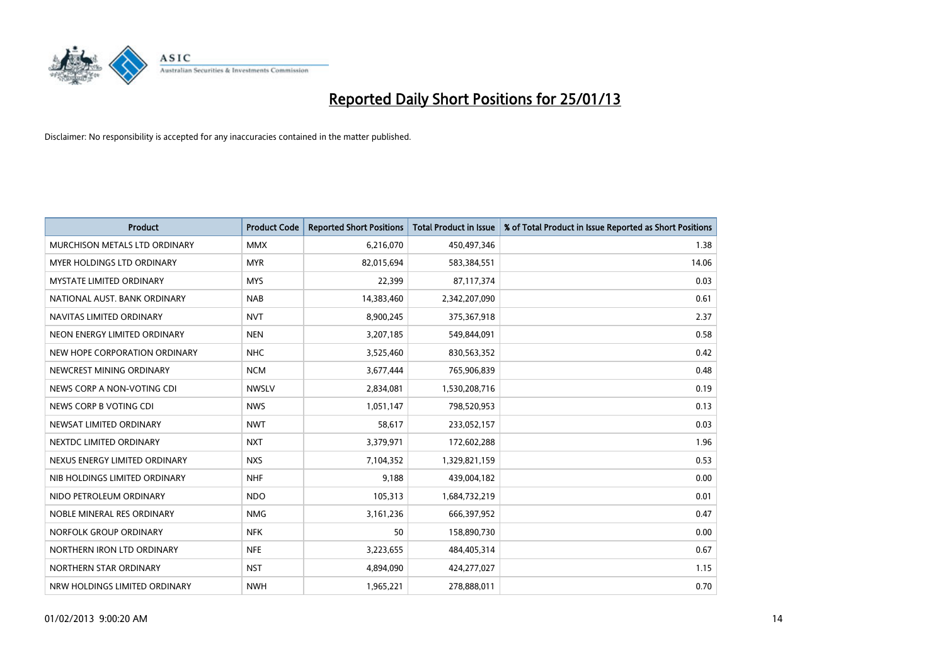

| <b>Product</b>                       | <b>Product Code</b> | <b>Reported Short Positions</b> | <b>Total Product in Issue</b> | % of Total Product in Issue Reported as Short Positions |
|--------------------------------------|---------------------|---------------------------------|-------------------------------|---------------------------------------------------------|
| <b>MURCHISON METALS LTD ORDINARY</b> | <b>MMX</b>          | 6,216,070                       | 450,497,346                   | 1.38                                                    |
| <b>MYER HOLDINGS LTD ORDINARY</b>    | <b>MYR</b>          | 82,015,694                      | 583,384,551                   | 14.06                                                   |
| <b>MYSTATE LIMITED ORDINARY</b>      | <b>MYS</b>          | 22,399                          | 87,117,374                    | 0.03                                                    |
| NATIONAL AUST. BANK ORDINARY         | <b>NAB</b>          | 14,383,460                      | 2,342,207,090                 | 0.61                                                    |
| NAVITAS LIMITED ORDINARY             | <b>NVT</b>          | 8,900,245                       | 375,367,918                   | 2.37                                                    |
| NEON ENERGY LIMITED ORDINARY         | <b>NEN</b>          | 3,207,185                       | 549,844,091                   | 0.58                                                    |
| NEW HOPE CORPORATION ORDINARY        | <b>NHC</b>          | 3,525,460                       | 830,563,352                   | 0.42                                                    |
| NEWCREST MINING ORDINARY             | <b>NCM</b>          | 3,677,444                       | 765,906,839                   | 0.48                                                    |
| NEWS CORP A NON-VOTING CDI           | <b>NWSLV</b>        | 2,834,081                       | 1,530,208,716                 | 0.19                                                    |
| NEWS CORP B VOTING CDI               | <b>NWS</b>          | 1,051,147                       | 798,520,953                   | 0.13                                                    |
| NEWSAT LIMITED ORDINARY              | <b>NWT</b>          | 58,617                          | 233,052,157                   | 0.03                                                    |
| NEXTDC LIMITED ORDINARY              | <b>NXT</b>          | 3,379,971                       | 172,602,288                   | 1.96                                                    |
| NEXUS ENERGY LIMITED ORDINARY        | <b>NXS</b>          | 7,104,352                       | 1,329,821,159                 | 0.53                                                    |
| NIB HOLDINGS LIMITED ORDINARY        | <b>NHF</b>          | 9,188                           | 439,004,182                   | 0.00                                                    |
| NIDO PETROLEUM ORDINARY              | <b>NDO</b>          | 105,313                         | 1,684,732,219                 | 0.01                                                    |
| NOBLE MINERAL RES ORDINARY           | <b>NMG</b>          | 3,161,236                       | 666,397,952                   | 0.47                                                    |
| NORFOLK GROUP ORDINARY               | <b>NFK</b>          | 50                              | 158,890,730                   | 0.00                                                    |
| NORTHERN IRON LTD ORDINARY           | <b>NFE</b>          | 3,223,655                       | 484,405,314                   | 0.67                                                    |
| NORTHERN STAR ORDINARY               | <b>NST</b>          | 4,894,090                       | 424,277,027                   | 1.15                                                    |
| NRW HOLDINGS LIMITED ORDINARY        | <b>NWH</b>          | 1,965,221                       | 278,888,011                   | 0.70                                                    |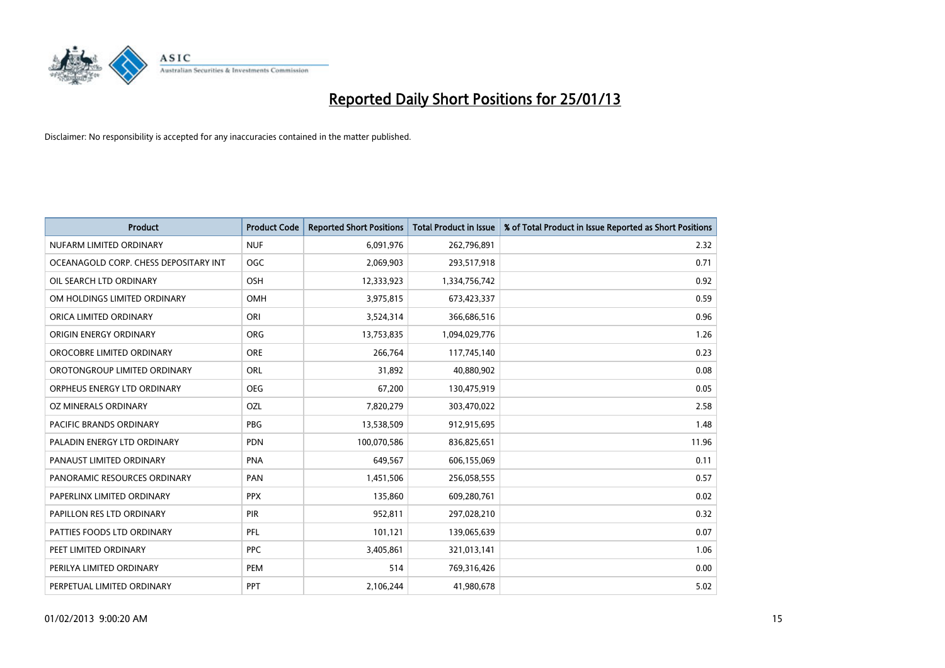

| <b>Product</b>                        | <b>Product Code</b> | <b>Reported Short Positions</b> | <b>Total Product in Issue</b> | % of Total Product in Issue Reported as Short Positions |
|---------------------------------------|---------------------|---------------------------------|-------------------------------|---------------------------------------------------------|
| NUFARM LIMITED ORDINARY               | <b>NUF</b>          | 6,091,976                       | 262,796,891                   | 2.32                                                    |
| OCEANAGOLD CORP. CHESS DEPOSITARY INT | <b>OGC</b>          | 2,069,903                       | 293,517,918                   | 0.71                                                    |
| OIL SEARCH LTD ORDINARY               | <b>OSH</b>          | 12,333,923                      | 1,334,756,742                 | 0.92                                                    |
| OM HOLDINGS LIMITED ORDINARY          | <b>OMH</b>          | 3,975,815                       | 673,423,337                   | 0.59                                                    |
| ORICA LIMITED ORDINARY                | ORI                 | 3,524,314                       | 366,686,516                   | 0.96                                                    |
| ORIGIN ENERGY ORDINARY                | <b>ORG</b>          | 13,753,835                      | 1,094,029,776                 | 1.26                                                    |
| OROCOBRE LIMITED ORDINARY             | <b>ORE</b>          | 266,764                         | 117,745,140                   | 0.23                                                    |
| OROTONGROUP LIMITED ORDINARY          | ORL                 | 31,892                          | 40,880,902                    | 0.08                                                    |
| ORPHEUS ENERGY LTD ORDINARY           | <b>OEG</b>          | 67,200                          | 130,475,919                   | 0.05                                                    |
| OZ MINERALS ORDINARY                  | OZL                 | 7,820,279                       | 303,470,022                   | 2.58                                                    |
| PACIFIC BRANDS ORDINARY               | <b>PBG</b>          | 13,538,509                      | 912,915,695                   | 1.48                                                    |
| PALADIN ENERGY LTD ORDINARY           | <b>PDN</b>          | 100,070,586                     | 836,825,651                   | 11.96                                                   |
| PANAUST LIMITED ORDINARY              | <b>PNA</b>          | 649,567                         | 606,155,069                   | 0.11                                                    |
| PANORAMIC RESOURCES ORDINARY          | PAN                 | 1,451,506                       | 256,058,555                   | 0.57                                                    |
| PAPERLINX LIMITED ORDINARY            | <b>PPX</b>          | 135,860                         | 609,280,761                   | 0.02                                                    |
| PAPILLON RES LTD ORDINARY             | <b>PIR</b>          | 952,811                         | 297,028,210                   | 0.32                                                    |
| PATTIES FOODS LTD ORDINARY            | PFL                 | 101,121                         | 139,065,639                   | 0.07                                                    |
| PEET LIMITED ORDINARY                 | <b>PPC</b>          | 3,405,861                       | 321,013,141                   | 1.06                                                    |
| PERILYA LIMITED ORDINARY              | PEM                 | 514                             | 769,316,426                   | 0.00                                                    |
| PERPETUAL LIMITED ORDINARY            | <b>PPT</b>          | 2,106,244                       | 41,980,678                    | 5.02                                                    |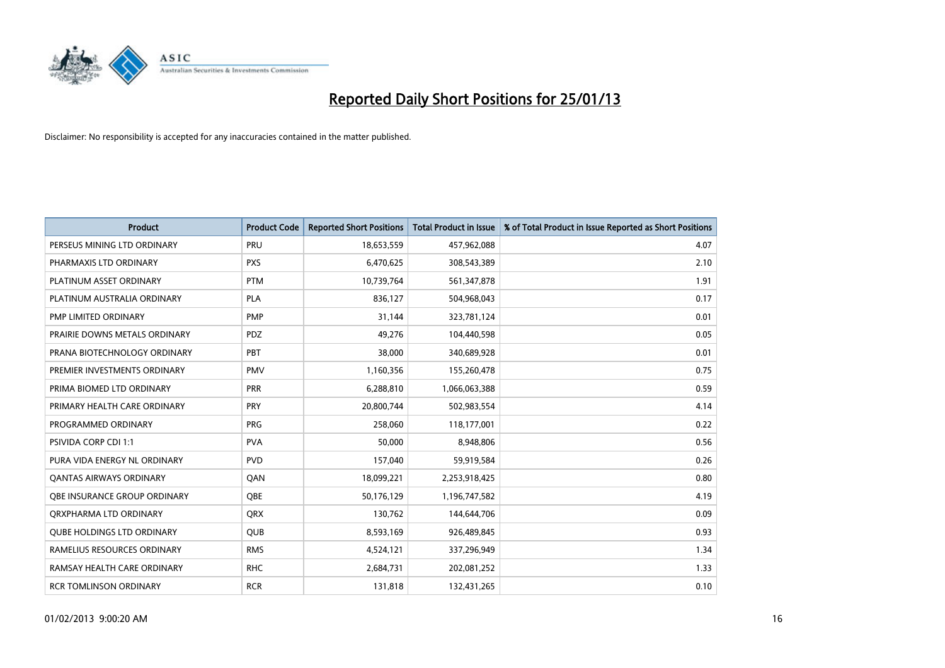

| <b>Product</b>                    | <b>Product Code</b> | <b>Reported Short Positions</b> | <b>Total Product in Issue</b> | % of Total Product in Issue Reported as Short Positions |
|-----------------------------------|---------------------|---------------------------------|-------------------------------|---------------------------------------------------------|
| PERSEUS MINING LTD ORDINARY       | PRU                 | 18,653,559                      | 457,962,088                   | 4.07                                                    |
| PHARMAXIS LTD ORDINARY            | <b>PXS</b>          | 6,470,625                       | 308,543,389                   | 2.10                                                    |
| PLATINUM ASSET ORDINARY           | <b>PTM</b>          | 10,739,764                      | 561,347,878                   | 1.91                                                    |
| PLATINUM AUSTRALIA ORDINARY       | <b>PLA</b>          | 836,127                         | 504,968,043                   | 0.17                                                    |
| PMP LIMITED ORDINARY              | <b>PMP</b>          | 31,144                          | 323,781,124                   | 0.01                                                    |
| PRAIRIE DOWNS METALS ORDINARY     | <b>PDZ</b>          | 49,276                          | 104,440,598                   | 0.05                                                    |
| PRANA BIOTECHNOLOGY ORDINARY      | <b>PBT</b>          | 38,000                          | 340,689,928                   | 0.01                                                    |
| PREMIER INVESTMENTS ORDINARY      | <b>PMV</b>          | 1,160,356                       | 155,260,478                   | 0.75                                                    |
| PRIMA BIOMED LTD ORDINARY         | <b>PRR</b>          | 6,288,810                       | 1,066,063,388                 | 0.59                                                    |
| PRIMARY HEALTH CARE ORDINARY      | <b>PRY</b>          | 20,800,744                      | 502,983,554                   | 4.14                                                    |
| PROGRAMMED ORDINARY               | <b>PRG</b>          | 258,060                         | 118,177,001                   | 0.22                                                    |
| <b>PSIVIDA CORP CDI 1:1</b>       | <b>PVA</b>          | 50,000                          | 8,948,806                     | 0.56                                                    |
| PURA VIDA ENERGY NL ORDINARY      | <b>PVD</b>          | 157,040                         | 59,919,584                    | 0.26                                                    |
| <b>QANTAS AIRWAYS ORDINARY</b>    | QAN                 | 18,099,221                      | 2,253,918,425                 | 0.80                                                    |
| OBE INSURANCE GROUP ORDINARY      | <b>OBE</b>          | 50,176,129                      | 1,196,747,582                 | 4.19                                                    |
| ORXPHARMA LTD ORDINARY            | <b>ORX</b>          | 130,762                         | 144,644,706                   | 0.09                                                    |
| <b>QUBE HOLDINGS LTD ORDINARY</b> | <b>QUB</b>          | 8,593,169                       | 926,489,845                   | 0.93                                                    |
| RAMELIUS RESOURCES ORDINARY       | <b>RMS</b>          | 4,524,121                       | 337,296,949                   | 1.34                                                    |
| RAMSAY HEALTH CARE ORDINARY       | <b>RHC</b>          | 2,684,731                       | 202,081,252                   | 1.33                                                    |
| <b>RCR TOMLINSON ORDINARY</b>     | <b>RCR</b>          | 131,818                         | 132,431,265                   | 0.10                                                    |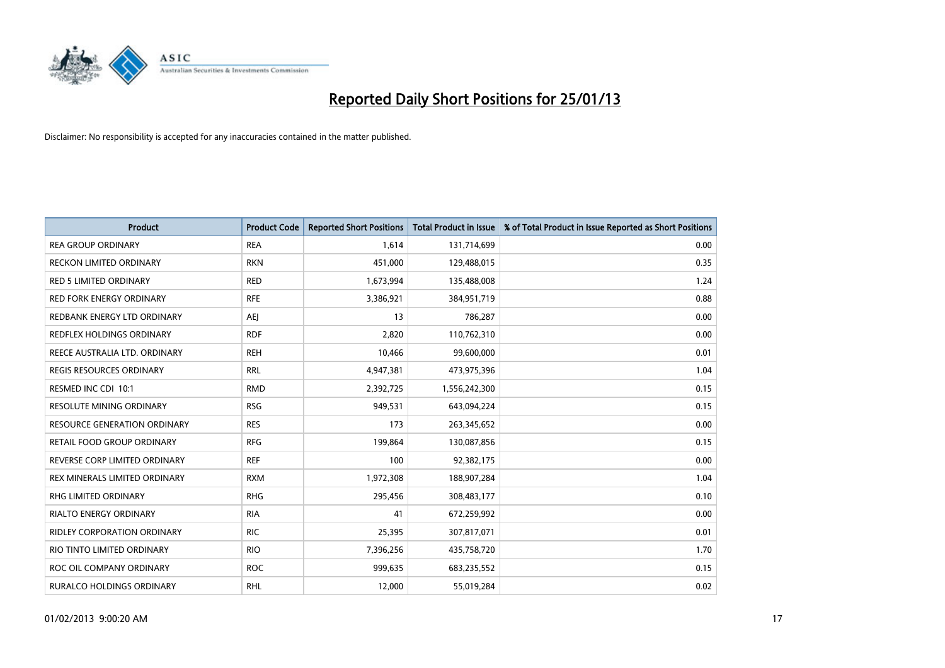

| <b>Product</b>                   | <b>Product Code</b> | <b>Reported Short Positions</b> | <b>Total Product in Issue</b> | % of Total Product in Issue Reported as Short Positions |
|----------------------------------|---------------------|---------------------------------|-------------------------------|---------------------------------------------------------|
| <b>REA GROUP ORDINARY</b>        | <b>REA</b>          | 1.614                           | 131,714,699                   | 0.00                                                    |
| RECKON LIMITED ORDINARY          | <b>RKN</b>          | 451,000                         | 129,488,015                   | 0.35                                                    |
| <b>RED 5 LIMITED ORDINARY</b>    | <b>RED</b>          | 1,673,994                       | 135,488,008                   | 1.24                                                    |
| RED FORK ENERGY ORDINARY         | <b>RFE</b>          | 3,386,921                       | 384,951,719                   | 0.88                                                    |
| REDBANK ENERGY LTD ORDINARY      | AEI                 | 13                              | 786,287                       | 0.00                                                    |
| <b>REDFLEX HOLDINGS ORDINARY</b> | <b>RDF</b>          | 2,820                           | 110,762,310                   | 0.00                                                    |
| REECE AUSTRALIA LTD. ORDINARY    | <b>REH</b>          | 10,466                          | 99,600,000                    | 0.01                                                    |
| REGIS RESOURCES ORDINARY         | <b>RRL</b>          | 4,947,381                       | 473,975,396                   | 1.04                                                    |
| RESMED INC CDI 10:1              | <b>RMD</b>          | 2,392,725                       | 1,556,242,300                 | 0.15                                                    |
| <b>RESOLUTE MINING ORDINARY</b>  | <b>RSG</b>          | 949,531                         | 643,094,224                   | 0.15                                                    |
| RESOURCE GENERATION ORDINARY     | <b>RES</b>          | 173                             | 263,345,652                   | 0.00                                                    |
| RETAIL FOOD GROUP ORDINARY       | <b>RFG</b>          | 199,864                         | 130,087,856                   | 0.15                                                    |
| REVERSE CORP LIMITED ORDINARY    | <b>REF</b>          | 100                             | 92,382,175                    | 0.00                                                    |
| REX MINERALS LIMITED ORDINARY    | <b>RXM</b>          | 1,972,308                       | 188,907,284                   | 1.04                                                    |
| <b>RHG LIMITED ORDINARY</b>      | <b>RHG</b>          | 295,456                         | 308,483,177                   | 0.10                                                    |
| RIALTO ENERGY ORDINARY           | <b>RIA</b>          | 41                              | 672,259,992                   | 0.00                                                    |
| RIDLEY CORPORATION ORDINARY      | <b>RIC</b>          | 25,395                          | 307,817,071                   | 0.01                                                    |
| RIO TINTO LIMITED ORDINARY       | <b>RIO</b>          | 7,396,256                       | 435,758,720                   | 1.70                                                    |
| ROC OIL COMPANY ORDINARY         | <b>ROC</b>          | 999,635                         | 683,235,552                   | 0.15                                                    |
| RURALCO HOLDINGS ORDINARY        | <b>RHL</b>          | 12,000                          | 55,019,284                    | 0.02                                                    |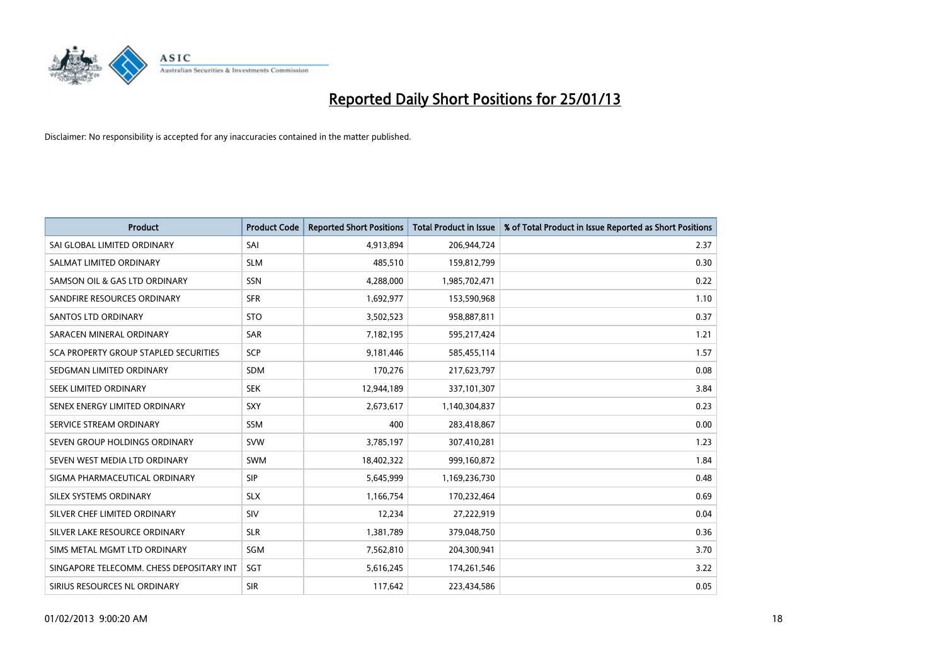

| <b>Product</b>                           | <b>Product Code</b> | <b>Reported Short Positions</b> | <b>Total Product in Issue</b> | % of Total Product in Issue Reported as Short Positions |
|------------------------------------------|---------------------|---------------------------------|-------------------------------|---------------------------------------------------------|
| SAI GLOBAL LIMITED ORDINARY              | SAI                 | 4,913,894                       | 206,944,724                   | 2.37                                                    |
| SALMAT LIMITED ORDINARY                  | <b>SLM</b>          | 485,510                         | 159,812,799                   | 0.30                                                    |
| SAMSON OIL & GAS LTD ORDINARY            | SSN                 | 4,288,000                       | 1,985,702,471                 | 0.22                                                    |
| SANDFIRE RESOURCES ORDINARY              | <b>SFR</b>          | 1,692,977                       | 153,590,968                   | 1.10                                                    |
| <b>SANTOS LTD ORDINARY</b>               | <b>STO</b>          | 3,502,523                       | 958,887,811                   | 0.37                                                    |
| SARACEN MINERAL ORDINARY                 | SAR                 | 7,182,195                       | 595,217,424                   | 1.21                                                    |
| SCA PROPERTY GROUP STAPLED SECURITIES    | <b>SCP</b>          | 9,181,446                       | 585,455,114                   | 1.57                                                    |
| SEDGMAN LIMITED ORDINARY                 | <b>SDM</b>          | 170,276                         | 217,623,797                   | 0.08                                                    |
| SEEK LIMITED ORDINARY                    | <b>SEK</b>          | 12,944,189                      | 337,101,307                   | 3.84                                                    |
| SENEX ENERGY LIMITED ORDINARY            | <b>SXY</b>          | 2,673,617                       | 1,140,304,837                 | 0.23                                                    |
| SERVICE STREAM ORDINARY                  | <b>SSM</b>          | 400                             | 283,418,867                   | 0.00                                                    |
| SEVEN GROUP HOLDINGS ORDINARY            | <b>SVW</b>          | 3,785,197                       | 307,410,281                   | 1.23                                                    |
| SEVEN WEST MEDIA LTD ORDINARY            | <b>SWM</b>          | 18,402,322                      | 999,160,872                   | 1.84                                                    |
| SIGMA PHARMACEUTICAL ORDINARY            | <b>SIP</b>          | 5,645,999                       | 1,169,236,730                 | 0.48                                                    |
| SILEX SYSTEMS ORDINARY                   | <b>SLX</b>          | 1,166,754                       | 170,232,464                   | 0.69                                                    |
| SILVER CHEF LIMITED ORDINARY             | SIV                 | 12,234                          | 27,222,919                    | 0.04                                                    |
| SILVER LAKE RESOURCE ORDINARY            | <b>SLR</b>          | 1,381,789                       | 379,048,750                   | 0.36                                                    |
| SIMS METAL MGMT LTD ORDINARY             | SGM                 | 7,562,810                       | 204,300,941                   | 3.70                                                    |
| SINGAPORE TELECOMM. CHESS DEPOSITARY INT | <b>SGT</b>          | 5,616,245                       | 174,261,546                   | 3.22                                                    |
| SIRIUS RESOURCES NL ORDINARY             | <b>SIR</b>          | 117,642                         | 223,434,586                   | 0.05                                                    |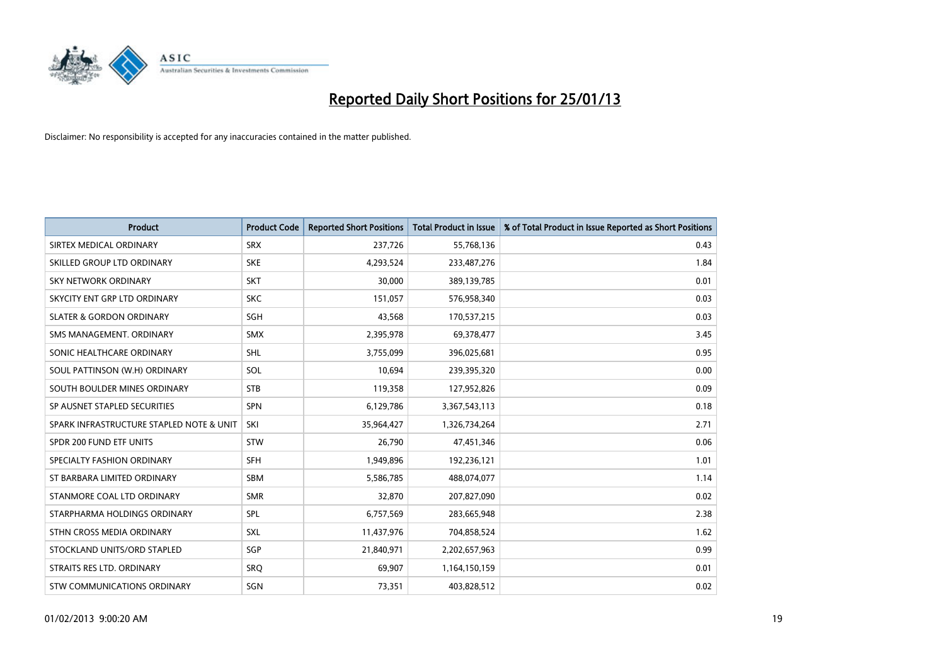

| <b>Product</b>                           | <b>Product Code</b> | <b>Reported Short Positions</b> | <b>Total Product in Issue</b> | % of Total Product in Issue Reported as Short Positions |
|------------------------------------------|---------------------|---------------------------------|-------------------------------|---------------------------------------------------------|
| SIRTEX MEDICAL ORDINARY                  | <b>SRX</b>          | 237,726                         | 55,768,136                    | 0.43                                                    |
| SKILLED GROUP LTD ORDINARY               | <b>SKE</b>          | 4,293,524                       | 233,487,276                   | 1.84                                                    |
| <b>SKY NETWORK ORDINARY</b>              | <b>SKT</b>          | 30,000                          | 389,139,785                   | 0.01                                                    |
| SKYCITY ENT GRP LTD ORDINARY             | <b>SKC</b>          | 151.057                         | 576,958,340                   | 0.03                                                    |
| <b>SLATER &amp; GORDON ORDINARY</b>      | SGH                 | 43,568                          | 170,537,215                   | 0.03                                                    |
| SMS MANAGEMENT, ORDINARY                 | <b>SMX</b>          | 2,395,978                       | 69,378,477                    | 3.45                                                    |
| SONIC HEALTHCARE ORDINARY                | SHL                 | 3,755,099                       | 396,025,681                   | 0.95                                                    |
| SOUL PATTINSON (W.H) ORDINARY            | SOL                 | 10,694                          | 239,395,320                   | 0.00                                                    |
| SOUTH BOULDER MINES ORDINARY             | <b>STB</b>          | 119,358                         | 127,952,826                   | 0.09                                                    |
| SP AUSNET STAPLED SECURITIES             | <b>SPN</b>          | 6,129,786                       | 3,367,543,113                 | 0.18                                                    |
| SPARK INFRASTRUCTURE STAPLED NOTE & UNIT | SKI                 | 35,964,427                      | 1,326,734,264                 | 2.71                                                    |
| SPDR 200 FUND ETF UNITS                  | <b>STW</b>          | 26,790                          | 47,451,346                    | 0.06                                                    |
| SPECIALTY FASHION ORDINARY               | <b>SFH</b>          | 1,949,896                       | 192,236,121                   | 1.01                                                    |
| ST BARBARA LIMITED ORDINARY              | <b>SBM</b>          | 5,586,785                       | 488,074,077                   | 1.14                                                    |
| STANMORE COAL LTD ORDINARY               | <b>SMR</b>          | 32,870                          | 207,827,090                   | 0.02                                                    |
| STARPHARMA HOLDINGS ORDINARY             | SPL                 | 6,757,569                       | 283,665,948                   | 2.38                                                    |
| STHN CROSS MEDIA ORDINARY                | SXL                 | 11,437,976                      | 704,858,524                   | 1.62                                                    |
| STOCKLAND UNITS/ORD STAPLED              | SGP                 | 21,840,971                      | 2,202,657,963                 | 0.99                                                    |
| STRAITS RES LTD. ORDINARY                | SRQ                 | 69,907                          | 1,164,150,159                 | 0.01                                                    |
| STW COMMUNICATIONS ORDINARY              | SGN                 | 73,351                          | 403,828,512                   | 0.02                                                    |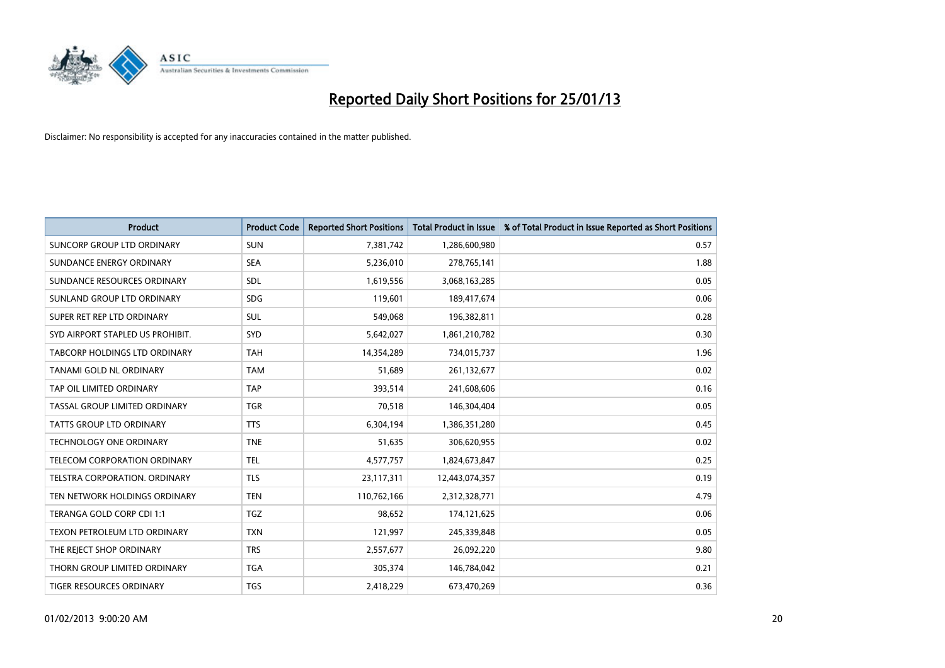

| <b>Product</b>                       | <b>Product Code</b> | <b>Reported Short Positions</b> | <b>Total Product in Issue</b> | % of Total Product in Issue Reported as Short Positions |
|--------------------------------------|---------------------|---------------------------------|-------------------------------|---------------------------------------------------------|
| SUNCORP GROUP LTD ORDINARY           | <b>SUN</b>          | 7,381,742                       | 1,286,600,980                 | 0.57                                                    |
| SUNDANCE ENERGY ORDINARY             | <b>SEA</b>          | 5,236,010                       | 278,765,141                   | 1.88                                                    |
| SUNDANCE RESOURCES ORDINARY          | <b>SDL</b>          | 1,619,556                       | 3,068,163,285                 | 0.05                                                    |
| SUNLAND GROUP LTD ORDINARY           | <b>SDG</b>          | 119,601                         | 189,417,674                   | 0.06                                                    |
| SUPER RET REP LTD ORDINARY           | <b>SUL</b>          | 549,068                         | 196,382,811                   | 0.28                                                    |
| SYD AIRPORT STAPLED US PROHIBIT.     | <b>SYD</b>          | 5,642,027                       | 1,861,210,782                 | 0.30                                                    |
| <b>TABCORP HOLDINGS LTD ORDINARY</b> | <b>TAH</b>          | 14,354,289                      | 734,015,737                   | 1.96                                                    |
| TANAMI GOLD NL ORDINARY              | <b>TAM</b>          | 51,689                          | 261,132,677                   | 0.02                                                    |
| TAP OIL LIMITED ORDINARY             | <b>TAP</b>          | 393,514                         | 241,608,606                   | 0.16                                                    |
| TASSAL GROUP LIMITED ORDINARY        | <b>TGR</b>          | 70,518                          | 146,304,404                   | 0.05                                                    |
| TATTS GROUP LTD ORDINARY             | <b>TTS</b>          | 6,304,194                       | 1,386,351,280                 | 0.45                                                    |
| TECHNOLOGY ONE ORDINARY              | <b>TNE</b>          | 51,635                          | 306,620,955                   | 0.02                                                    |
| <b>TELECOM CORPORATION ORDINARY</b>  | <b>TEL</b>          | 4,577,757                       | 1,824,673,847                 | 0.25                                                    |
| <b>TELSTRA CORPORATION, ORDINARY</b> | <b>TLS</b>          | 23,117,311                      | 12,443,074,357                | 0.19                                                    |
| TEN NETWORK HOLDINGS ORDINARY        | <b>TEN</b>          | 110,762,166                     | 2,312,328,771                 | 4.79                                                    |
| TERANGA GOLD CORP CDI 1:1            | <b>TGZ</b>          | 98,652                          | 174,121,625                   | 0.06                                                    |
| TEXON PETROLEUM LTD ORDINARY         | <b>TXN</b>          | 121,997                         | 245,339,848                   | 0.05                                                    |
| THE REJECT SHOP ORDINARY             | <b>TRS</b>          | 2,557,677                       | 26,092,220                    | 9.80                                                    |
| THORN GROUP LIMITED ORDINARY         | <b>TGA</b>          | 305,374                         | 146,784,042                   | 0.21                                                    |
| TIGER RESOURCES ORDINARY             | <b>TGS</b>          | 2,418,229                       | 673,470,269                   | 0.36                                                    |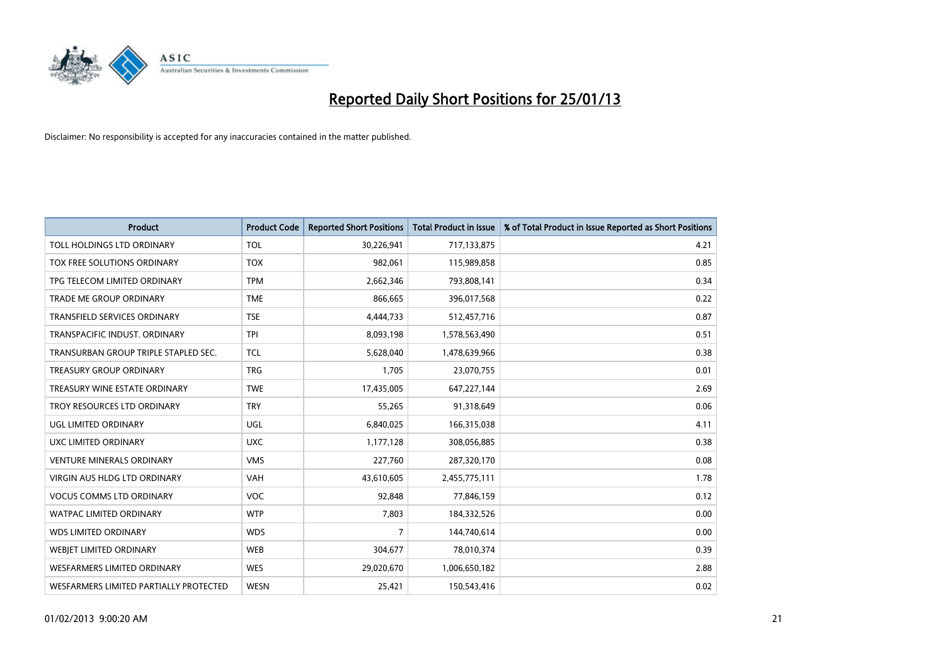

| <b>Product</b>                         | <b>Product Code</b> | <b>Reported Short Positions</b> | <b>Total Product in Issue</b> | % of Total Product in Issue Reported as Short Positions |
|----------------------------------------|---------------------|---------------------------------|-------------------------------|---------------------------------------------------------|
| TOLL HOLDINGS LTD ORDINARY             | <b>TOL</b>          | 30,226,941                      | 717,133,875                   | 4.21                                                    |
| TOX FREE SOLUTIONS ORDINARY            | <b>TOX</b>          | 982,061                         | 115,989,858                   | 0.85                                                    |
| TPG TELECOM LIMITED ORDINARY           | <b>TPM</b>          | 2,662,346                       | 793,808,141                   | 0.34                                                    |
| TRADE ME GROUP ORDINARY                | <b>TME</b>          | 866,665                         | 396,017,568                   | 0.22                                                    |
| <b>TRANSFIELD SERVICES ORDINARY</b>    | <b>TSE</b>          | 4,444,733                       | 512,457,716                   | 0.87                                                    |
| TRANSPACIFIC INDUST, ORDINARY          | <b>TPI</b>          | 8,093,198                       | 1,578,563,490                 | 0.51                                                    |
| TRANSURBAN GROUP TRIPLE STAPLED SEC.   | <b>TCL</b>          | 5,628,040                       | 1,478,639,966                 | 0.38                                                    |
| <b>TREASURY GROUP ORDINARY</b>         | <b>TRG</b>          | 1,705                           | 23,070,755                    | 0.01                                                    |
| TREASURY WINE ESTATE ORDINARY          | <b>TWE</b>          | 17,435,005                      | 647,227,144                   | 2.69                                                    |
| TROY RESOURCES LTD ORDINARY            | <b>TRY</b>          | 55,265                          | 91,318,649                    | 0.06                                                    |
| UGL LIMITED ORDINARY                   | UGL                 | 6,840,025                       | 166,315,038                   | 4.11                                                    |
| UXC LIMITED ORDINARY                   | <b>UXC</b>          | 1,177,128                       | 308,056,885                   | 0.38                                                    |
| <b>VENTURE MINERALS ORDINARY</b>       | <b>VMS</b>          | 227,760                         | 287,320,170                   | 0.08                                                    |
| <b>VIRGIN AUS HLDG LTD ORDINARY</b>    | <b>VAH</b>          | 43,610,605                      | 2,455,775,111                 | 1.78                                                    |
| <b>VOCUS COMMS LTD ORDINARY</b>        | <b>VOC</b>          | 92,848                          | 77,846,159                    | 0.12                                                    |
| <b>WATPAC LIMITED ORDINARY</b>         | <b>WTP</b>          | 7,803                           | 184,332,526                   | 0.00                                                    |
| <b>WDS LIMITED ORDINARY</b>            | <b>WDS</b>          | 7                               | 144,740,614                   | 0.00                                                    |
| WEBJET LIMITED ORDINARY                | <b>WEB</b>          | 304,677                         | 78,010,374                    | 0.39                                                    |
| <b>WESFARMERS LIMITED ORDINARY</b>     | <b>WES</b>          | 29,020,670                      | 1,006,650,182                 | 2.88                                                    |
| WESFARMERS LIMITED PARTIALLY PROTECTED | <b>WESN</b>         | 25,421                          | 150,543,416                   | 0.02                                                    |